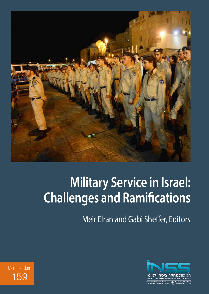

# **Military Service in Israel: Challenges and Ramifications**

Meir Elran and Gabi Sheffer, Editors



Memorandum 159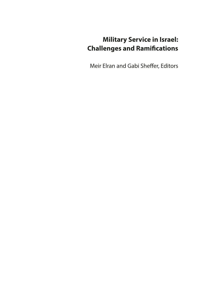# **Military Service in Israel: Challenges and Ramifications**

Meir Elran and Gabi Sheffer, Editors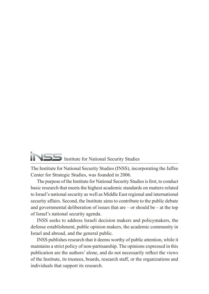# Institute for National Security Studies

The Institute for National Security Studies (INSS), incorporating the Jaffee Center for Strategic Studies, was founded in 2006.

The purpose of the Institute for National Security Studies is first, to conduct basic research that meets the highest academic standards on matters related to Israel's national security as well as Middle East regional and international security affairs. Second, the Institute aims to contribute to the public debate and governmental deliberation of issues that are  $-$  or should be  $-$  at the top of Israel's national security agenda.

INSS seeks to address Israeli decision makers and policymakers, the defense establishment, public opinion makers, the academic community in Israel and abroad, and the general public.

INSS publishes research that it deems worthy of public attention, while it maintains a strict policy of non-partisanship. The opinions expressed in this publication are the authors' alone, and do not necessarily reflect the views of the Institute, its trustees, boards, research staff, or the organizations and individuals that support its research.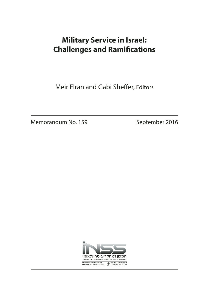# **Military Service in Israel: Challenges and Ramifications**

Meir Elran and Gabi Sheffer, Editors

Memorandum No. 159 September 2016

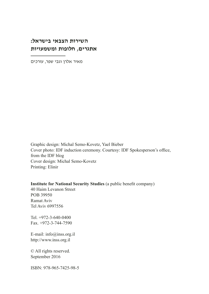## **השירות הצבאי בישראל: אתגרים, חלופות ומשמעויות**

מאיר אלרן וגבי שפר, עורכים

Graphic design: Michal Semo-Kovetz, Yael Bieber Cover photo: IDF induction ceremony. Courtesy: IDF Spokesperson's office, from the IDF blog Cover design: Michal Semo-Kovetz Printing: Elinir

**Institute for National Security Studies** (a public benefit company)

40 Haim Levanon Street POB 39950 Ramat Aviv Tel Aviv 6997556

Tel. +972-3-640-0400 Fax. +972-3-744-7590

E-mail: info@inss.org.il http://www.inss.org.il

© All rights reserved. September 2016

ISBN: 978-965-7425-98-5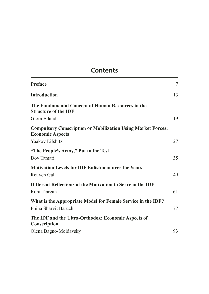# **Contents**

| <b>Preface</b>                                                                                 | $\overline{7}$ |
|------------------------------------------------------------------------------------------------|----------------|
| <b>Introduction</b>                                                                            | 13             |
| The Fundamental Concept of Human Resources in the<br><b>Structure of the IDF</b>               |                |
| Giora Eiland                                                                                   | 19             |
| <b>Compulsory Conscription or Mobilization Using Market Forces:</b><br><b>Economic Aspects</b> |                |
| Yaakov Lifshitz                                                                                | 27             |
| "The People's Army," Put to the Test                                                           |                |
| Dov Tamari                                                                                     | 35             |
| <b>Motivation Levels for IDF Enlistment over the Years</b>                                     |                |
| Reuven Gal                                                                                     | 49             |
| Different Reflections of the Motivation to Serve in the IDF                                    |                |
| Roni Tiargan                                                                                   | 61             |
| What is the Appropriate Model for Female Service in the IDF?                                   |                |
| Pnina Sharvit Baruch                                                                           | 77             |
| The IDF and the Ultra-Orthodox: Economic Aspects of<br>Conscription                            |                |
| Olena Bagno-Moldavsky                                                                          | 93             |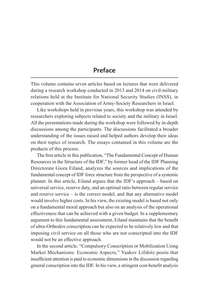## **Preface**

This volume contains seven articles based on lectures that were delivered during a research workshop conducted in 2013 and 2014 on civil-military relations held at the Institute for National Security Studies (INSS), in cooperation with the Association of Army-Society Researchers in Israel.

Like workshops held in previous years, this workshop was attended by researchers exploring subjects related to society and the military in Israel. All the presentations made during the workshop were followed by in-depth discussions among the participants. The discussions facilitated a broader understanding of the issues raised and helped authors develop their ideas on their topics of research. The essays contained in this volume are the products of this process.

The first article in this publication, "The Fundamental Concept of Human Resources in the Structure of the IDF," by former head of the IDF Planning Directorate Giora Eiland, analyzes the sources and implications of the fundamental concept of IDF force structure from the perspective of a systemic planner. In this article, Eiland argues that the IDF's approach – based on universal service, reserve duty, and an optimal ratio between regular service and reserve service – is the correct model, and that any alternative model would involve higher costs. In his view, the existing model is based not only on a fundamental moral approach but also on an analysis of the operational effectiveness that can be achieved with a given budget. In a supplementary argument to this fundamental assessment, Eiland maintains that the benefit of ultra-Orthodox conscription can be expected to be relatively low and that imposing civil service on all those who are not conscripted into the IDF would not be an effective approach.

In the second article, "Compulsory Conscription or Mobilization Using Market Mechanisms: Economic Aspects," Yaakov Lifshitz posits that insufficient attention is paid to economic dimensions in the discussion regarding general conscription into the IDF. In his view, a stringent cost-benefit analysis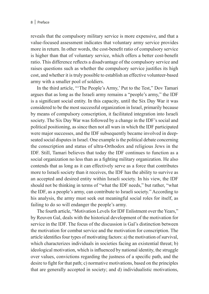reveals that the compulsory military service is more expensive, and that a value-focused assessment indicates that voluntary army service provides more in return. In other words, the cost-benefit ratio of compulsory service is higher than that of voluntary service, which offers a better cost-benefit ratio. This difference reflects a disadvantage of the compulsory service and raises questions such as whether the compulsory service justifies its high cost, and whether it is truly possible to establish an effective volunteer-based army with a smaller pool of soldiers.

In the third article, "'The People's Army,' Put to the Test," Dov Tamari argues that as long as the Israeli army remains a "people's army," the IDF is a significant social entity. In this capacity, until the Six Day War it was considered to be the most successful organization in Israel, primarily because by means of compulsory conscription, it facilitated integration into Israeli society. The Six Day War was followed by a change in the IDF's social and political positioning, as since then not all wars in which the IDF participated were major successes, and the IDF subsequently became involved in deepseated social disputes in Israel. One example is the political debate concerning the conscription and status of ultra-Orthodox and religious Jews in the IDF. Still, Tamari believes that today the IDF continues to function as a social organization no less than as a fighting military organization. He also contends that as long as it can effectively serve as a force that contributes more to Israeli society than it receives, the IDF has the ability to survive as an accepted and desired entity within Israeli society. In his view, the IDF should not be thinking in terms of "what the IDF needs," but rather, "what the IDF, as a people's army, can contribute to Israeli society." According to his analysis, the army must seek out meaningful social roles for itself, as failing to do so will endanger the people's army.

The fourth article, "Motivation Levels for IDF Enlistment over the Years," by Reuven Gal, deals with the historical development of the motivation for service in the IDF. The focus of the discussion is Gal's distinction between the motivation for combat service and the motivation for conscription. The article identifies four types of motivating factors: a) the motivation of survival, which characterizes individuals in societies facing an existential threat; b) ideological motivation, which is influenced by national identity, the struggle over values, convictions regarding the justness of a specific path, and the desire to fight for that path; c) normative motivations, based on the principles that are generally accepted in society; and d) individualistic motivations,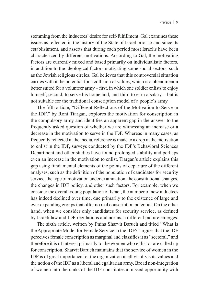stemming from the inductees' desire for self-fulfillment. Gal examines these issues as reflected in the history of the State of Israel prior to and since its establishment, and asserts that during each period most Israelis have been characterized by different motivations. According to Gal, the motivating factors are currently mixed and based primarily on individualistic factors, in addition to the ideological factors motivating some social sectors, such as the Jewish religious circles. Gal believes that this controversial situation carries with it the potential for a collision of values, which is a phenomenon better suited for a volunteer army – first, in which one soldier enlists to enjoy himself, second, to serve his homeland, and third to earn a salary – but is not suitable for the traditional conscription model of a people's army.

The fifth article, "Different Reflections of the Motivation to Serve in the IDF," by Roni Tiargan, explores the motivation for conscription in the compulsory army and identifies an apparent gap in the answer to the frequently asked question of whether we are witnessing an increase or a decrease in the motivation to serve in the IDF. Whereas in many cases, as frequently reflected in the media, reference is made to a drop in the motivation to enlist in the IDF, surveys conducted by the IDF's Behavioral Sciences Department and other studies have found prolonged stability and perhaps even an increase in the motivation to enlist. Tiargan's article explains this gap using fundamental elements of the points of departure of the different analyses, such as the definition of the population of candidates for security service, the type of motivation under examination, the constitutional changes, the changes in IDF policy, and other such factors. For example, when we consider the overall young population of Israel, the number of new inductees has indeed declined over time, due primarily to the existence of large and ever expanding groups that offer no real conscription potential. On the other hand, when we consider only candidates for security service, as defined by Israeli law and IDF regulations and norms, a different picture emerges.

The sixth article, written by Pnina Sharvit Baruch and titled "What is the Appropriate Model for Female Service in the IDF?" argues that the IDF perceives female conscription as marginal and classifies it as "sectoral," and therefore it is of interest primarily to the women who enlist or are called up for conscription. Sharvit Baruch maintains that the service of women in the IDF is of great importance for the organization itself vis-à-vis its values and the notion of the IDF as a liberal and egalitarian army. Broad non-integration of women into the ranks of the IDF constitutes a missed opportunity with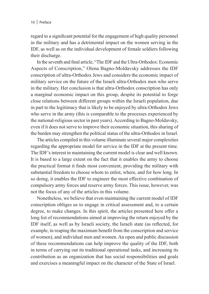regard to a significant potential for the engagement of high quality personnel in the military and has a detrimental impact on the women serving in the IDF, as well as on the individual development of female soldiers following their discharge.

In the seventh and final article, "The IDF and the Ultra-Orthodox: Economic Aspects of Conscription," Olena Bagno-Moldavsky addresses the IDF conscription of ultra-Orthodox Jews and considers the economic impact of military service on the future of the Israeli ultra-Orthodox men who serve in the military. Her conclusion is that ultra-Orthodox conscription has only a marginal economic impact on this group, despite its potential to forge close relations between different groups within the Israeli population, due in part to the legitimacy that is likely to be enjoyed by ultra-Orthodox Jews who serve in the army (this is comparable to the processes experienced by the national-religious sector in past years). According to Bagno-Moldavsky, even if it does not serve to improve their economic situation, this sharing of the burden may strengthen the political status of the ultra-Orthodox in Israel.

The articles compiled in this volume illuminate several major complexities regarding the appropriate model for service in the IDF at the present time. The IDF's interest in maintaining the current model is clear and well known. It is based to a large extent on the fact that it enables the army to choose the practical format it finds most convenient, providing the military with substantial freedom to choose whom to enlist, where, and for how long. In so doing, it enables the IDF to engineer the most effective combination of compulsory army forces and reserve army forces. This issue, however, was not the focus of any of the articles in this volume.

Nonetheless, we believe that even maintaining the current model of IDF conscription obliges us to engage in critical assessment and, to a certain degree, to make changes. In this spirit, the articles presented here offer a long list of recommendations aimed at improving the return enjoyed by the IDF itself, as well as by Israeli society, the Israeli state (as reflected, for example, in reaping the maximum benefit from the conscription and service of women), and individual men and women. An open and public discussion of these recommendations can help improve the quality of the IDF, both in terms of carrying out its traditional operational tasks, and increasing its contribution as an organization that has social responsibilities and goals and exercises a meaningful impact on the character of the State of Israel.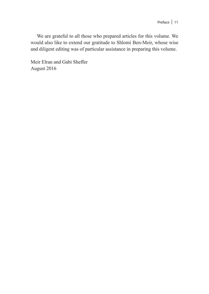We are grateful to all those who prepared articles for this volume. We would also like to extend our gratitude to Shlomi Ben-Meir, whose wise and diligent editing was of particular assistance in preparing this volume.

Meir Elran and Gabi Sheffer August 2016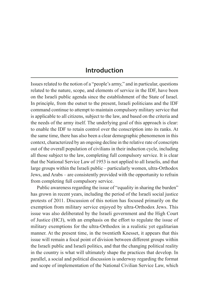## **Introduction**

Issues related to the notion of a "people's army," and in particular, questions related to the nature, scope, and elements of service in the IDF, have been on the Israeli public agenda since the establishment of the State of Israel. In principle, from the outset to the present, Israeli politicians and the IDF command continue to attempt to maintain compulsory military service that is applicable to all citizens, subject to the law, and based on the criteria and the needs of the army itself. The underlying goal of this approach is clear: to enable the IDF to retain control over the conscription into its ranks. At the same time, there has also been a clear demographic phenomenon in this context, characterized by an ongoing decline in the relative rate of conscripts out of the overall population of civilians in their induction cycle, including all those subject to the law, completing full compulsory service. It is clear that the National Service Law of 1953 is not applied to all Israelis, and that large groups within the Israeli public – particularly women, ultra-Orthodox Jews, and Arabs – are consistently provided with the opportunity to refrain from completing full compulsory service.

Public awareness regarding the issue of "equality in sharing the burden" has grown in recent years, including the period of the Israeli social justice protests of 2011. Discussion of this notion has focused primarily on the exemption from military service enjoyed by ultra-Orthodox Jews. This issue was also deliberated by the Israeli government and the High Court of Justice (HCJ), with an emphasis on the effort to regulate the issue of military exemptions for the ultra-Orthodox in a realistic yet egalitarian manner. At the present time, in the twentieth Knesset, it appears that this issue will remain a focal point of division between different groups within the Israeli public and Israeli politics, and that the changing political reality in the country is what will ultimately shape the practices that develop. In parallel, a social and political discussion is underway regarding the format and scope of implementation of the National Civilian Service Law, which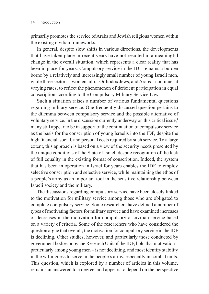primarily promotes the service of Arabs and Jewish religious women within the existing civilian frameworks.

In general, despite slow shifts in various directions, the developments that have taken place in recent years have not resulted in a meaningful change in the overall situation, which represents a clear reality that has been in place for years. Compulsory service in the IDF remains a burden borne by a relatively and increasingly small number of young Israeli men, while three sectors – women, ultra-Orthodox Jews, and Arabs – continue, at varying rates, to reflect the phenomenon of deficient participation in equal conscription according to the Compulsory Military Service Law.

Such a situation raises a number of various fundamental questions regarding military service. One frequently discussed question pertains to the dilemma between compulsory service and the possible alternative of voluntary service. In the discussion currently underway on this critical issue,<sup>1</sup> many still appear to be in support of the continuation of compulsory service as the basis for the conscription of young Israelis into the IDF, despite the high financial, social, and personal costs required by such service. To a large extent, this approach is based on a view of the security needs presented by the unique conditions of the State of Israel, despite recognition of the lack of full equality in the existing format of conscription. Indeed, the system that has been in operation in Israel for years enables the IDF to employ selective conscription and selective service, while maintaining the ethos of a people's army as an important tool in the sensitive relationship between Israeli society and the military.

The discussions regarding compulsory service have been closely linked to the motivation for military service among those who are obligated to complete compulsory service. Some researchers have defined a number of types of motivating factors for military service and have examined increases or decreases in the motivation for compulsory or civilian service based on a variety of criteria. Some of the researchers who have considered the question argue that overall, the motivation for compulsory service in the IDF is declining. Other studies, however, and particularly those conducted by government bodies or by the Research Unit of the IDF, hold that motivation – particularly among young men – is not declining, and most identify stability in the willingness to serve in the people's army, especially in combat units. This question, which is explored by a number of articles in this volume, remains unanswered to a degree, and appears to depend on the perspective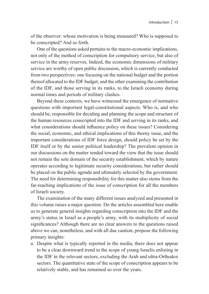of the observer: whose motivation is being measured? Who is supposed to be conscripted? And so forth.

One of the questions asked pertains to the macro-economic implications, not only of the method of conscription for compulsory service, but also of service in the army reserves. Indeed, the economic dimensions of military service are worthy of open public discussion, which is currently conducted from two perspectives: one focusing on the national budget and the portion thereof allocated to the IDF budget; and the other examining the contribution of the IDF, and those serving in its ranks, to the Israeli economy during normal times and periods of military clashes.

Beyond these contexts, we have witnessed the emergence of normative questions with important legal-constitutional aspects. Who is, and who should be, responsible for deciding and planning the scope and structure of the human resources conscripted into the IDF and serving in its ranks, and what considerations should influence policy on these issues? Considering the social, economic, and ethical implications of this thorny issue, and the important considerations of IDF force design, should policy be set by the IDF itself or by the senior political leadership? The prevalent opinion in our discussions on the matter tended toward the view that the issue should not remain the sole domain of the security establishment, which by nature operates according to legitimate security considerations, but rather should be placed on the public agenda and ultimately selected by the government. The need for determining responsibility for this matter also stems from the far-reaching implications of the issue of conscription for all the members of Israeli society.

The examination of the many different issues analyzed and presented in this volume raises a major question: Do the articles assembled here enable us to generate general insights regarding conscription into the IDF and the army's status in Israel as a people's army, with its multiplicity of social significances? Although there are no clear answers to the questions raised above we can, nonetheless, and with all due caution, propose the following primary insights:

a. Despite what is typically reported in the media, there does not appear to be a clear downward trend in the scope of young Israelis enlisting in the IDF in the relevant sectors, excluding the Arab and ultra-Orthodox sectors. The quantitative state of the scope of conscription appears to be relatively stable, and has remained so over the years.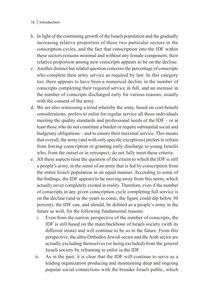#### 16 | Introduction

- b. In light of the continuing growth of the Israeli population and the gradually increasing relative proportion of those two particular sectors in the conscription cycles, and the fact that conscription into the IDF within these sectors remains minimal and without any female component, their relative proportion among new conscripts appears to be on the decline.
- c. Another distinct but related question concerns the percentage of conscripts who complete their army service as required by law. In this category too, there appears to have been a numerical decline in the number of conscripts completing their required service in full, and an increase in the number of conscripts discharged early for various reasons, usually with the consent of the army.
- d. We are also witnessing a trend whereby the army, based on cost-benefit considerations, prefers to enlist for regular service all those individuals meeting the quality standards and professional needs of the IDF – or at least those who do not constitute a burden or require substantial social and budgetary obligations – and to ensure their maximal service. This means that overall, the army (and with only specific exceptions) prefers to refrain from forcing conscription or granting early discharge to young Israelis who, from the outset or in retrospect, do not fully meet these criteria.
- e. All these aspects raise the question of the extent to which the IDF is still a people's army, in the sense of an army that is fed by conscription from the entire Israeli population in an equal manner. According to some of the findings, the IDF appears to be moving away from this norm, which actually never completely existed in reality. Therefore, even if the number of conscripts in any given conscription cycle completing full service is on the decline (and in the years to come, the figure could dip below 50 percent), the IDF can, and should, be defined as a people's army in the future as well, for the following fundamental reasons:
	- i. Even from the narrow perspective of the number of conscripts, the IDF is still based on the main backbone of Israeli society (with its different strata) and will continue to be so in the future. From this perspective, the ultra-Orthodox Jewish sector and the Arab sector are actually excluding themselves (or being excluded) from the general Israeli society by refraining to enlist in the IDF.
	- ii. As in the past, it is clear that the IDF will continue to serve as a leading organization producing and maintaining deep and ongoing popular social connections with the broader Israeli public, which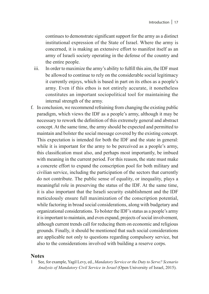continues to demonstrate significant support for the army as a distinct institutional expression of the State of Israel. Where the army is concerned, it is making an extensive effort to manifest itself as an army of Israeli society operating in the defense of the country and the entire people.

- iii. In order to maximize the army's ability to fulfill this aim, the IDF must be allowed to continue to rely on the considerable social legitimacy it currently enjoys, which is based in part on its ethos as a people's army. Even if this ethos is not entirely accurate, it nonetheless constitutes an important sociopolitical tool for maintaining the internal strength of the army.
- f. In conclusion, we recommend refraining from changing the existing public paradigm, which views the IDF as a people's army, although it may be necessary to rework the definition of this extremely general and abstract concept. At the same time, the army should be expected and permitted to maintain and bolster the social message covered by the existing concept. This expectation is intended for both the IDF and the state in general: while it is important for the army to be perceived as a people's army, this classification must also, and perhaps most importantly, be imbued with meaning in the current period. For this reason, the state must make a concrete effort to expand the conscription pool for both military and civilian service, including the participation of the sectors that currently do not contribute. The public sense of equality, or inequality, plays a meaningful role in preserving the status of the IDF. At the same time, it is also important that the Israeli security establishment and the IDF meticulously ensure full maximization of the conscription potential, while factoring in broad social considerations, along with budgetary and organizational considerations. To bolster the IDF's status as a people's army it is important to maintain, and even expand, projects of social involvement, although current trends call for reducing them on economic and religious grounds. Finally, it should be mentioned that such social considerations are applicable not only to questions regarding compulsory service, but also to the considerations involved with building a reserve corps.

### **Notes**

1 See, for example, Yagil Levy, ed., *Mandatory Service or the Duty to Serve? Scenario Analysis of Mandatory Civil Service in Israel* (Open University of Israel, 2015).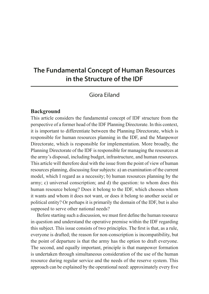# **The Fundamental Concept of Human Resources in the Structure of the IDF**

Giora Eiland

#### **Background**

This article considers the fundamental concept of IDF structure from the perspective of a former head of the IDF Planning Directorate. In this context, it is important to differentiate between the Planning Directorate, which is responsible for human resources planning in the IDF, and the Manpower Directorate, which is responsible for implementation. More broadly, the Planning Directorate of the IDF is responsible for managing the resources at the army's disposal, including budget, infrastructure, and human resources. This article will therefore deal with the issue from the point of view of human resources planning, discussing four subjects: a) an examination of the current model, which I regard as a necessity; b) human resources planning by the army; c) universal conscription; and d) the question: to whom does this human resource belong? Does it belong to the IDF, which chooses whom it wants and whom it does not want, or does it belong to another social or political entity? Or perhaps it is primarily the domain of the IDF, but is also supposed to serve other national needs?

Before starting such a discussion, we must first define the human resource in question and understand the operative premise within the IDF regarding this subject. This issue consists of two principles. The first is that, as a rule, everyone is drafted; the reason for non-conscription is incompatibility, but the point of departure is that the army has the option to draft everyone. The second, and equally important, principle is that manpower formation is undertaken through simultaneous consideration of the use of the human resource during regular service and the needs of the reserve system. This approach can be explained by the operational need: approximately every five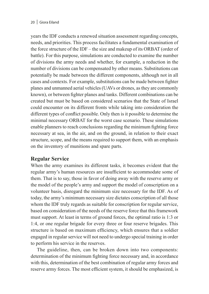#### 20 | Giora Eiland

years the IDF conducts a renewed situation assessment regarding concepts, needs, and priorities. This process facilitates a fundamental examination of the force structure of the IDF – the size and makeup of its ORBAT (order of battle). For this purpose, simulations are conducted to examine the number of divisions the army needs and whether, for example, a reduction in the number of divisions can be compensated by other means. Substitutions can potentially be made between the different components, although not in all cases and contexts. For example, substitutions can be made between fighter planes and unmanned aerial vehicles (UAVs or drones, as they are commonly known), or between fighter planes and tanks. Different combinations can be created but must be based on considered scenarios that the State of Israel could encounter on its different fronts while taking into consideration the different types of conflict possible. Only then is it possible to determine the minimal necessary ORBAT for the worst case scenario. These simulations enable planners to reach conclusions regarding the minimum fighting force necessary at sea, in the air, and on the ground, in relation to their exact structure, scope, and the means required to support them, with an emphasis on the inventory of munitions and spare parts.

### **Regular Service**

When the army examines its different tasks, it becomes evident that the regular army's human resources are insufficient to accommodate some of them. That is to say, those in favor of doing away with the reserve army or the model of the people's army and support the model of conscription on a volunteer basis, disregard the minimum size necessary for the IDF. As of today, the army's minimum necessary size dictates conscription of all those whom the IDF truly regards as suitable for conscription for regular service, based on consideration of the needs of the reserve force that this framework must support. At least in terms of ground forces, the optimal ratio is 1:3 or 1:4, or one regular brigade for every three or four reserve brigades. This structure is based on maximum efficiency, which ensures that a soldier engaged in regular service will not need to undergo special training in order to perform his service in the reserves.

The guideline, then, can be broken down into two components: determination of the minimum fighting force necessary and, in accordance with this, determination of the best combination of regular army forces and reserve army forces. The most efficient system, it should be emphasized, is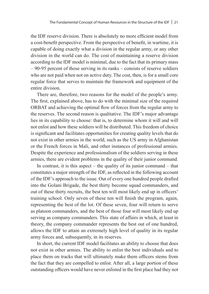the IDF reserve division. There is absolutely no more efficient model from a cost-benefit perspective. From the perspective of benefit, in wartime, it is capable of doing exactly what a division in the regular army, or any other division in the world can do. The cost of maintaining a reserve division according to the IDF model is minimal, due to the fact that its primary mass – 90-95 percent of those serving in its ranks – consists of reserve soldiers who are not paid when not on active duty. The cost, then, is for a small core regular force that serves to maintain the framework and equipment of the entire division.

There are, therefore, two reasons for the model of the people's army. The first, explained above, has to do with the minimal size of the required ORBAT and achieving the optimal flow of forces from the regular army to the reserves. The second reason is qualitative. The IDF's major advantage lies in its capability to choose: that is, to determine whom it will and will not enlist and how these soldiers will be distributed. This freedom of choice is significant and facilitates opportunities for creating quality levels that do not exist in other armies in the world, such as the US army in Afghanistan or the French forces in Mali, and other instances of professional armies. Despite the experience and professionalism of the soldiers serving in these armies, there are evident problems in the quality of their junior command.

In contrast, it is this aspect – the quality of its junior command – that constitutes a major strength of the IDF, as reflected in the following account of the IDF's approach to the issue. Out of every one hundred people drafted into the Golani Brigade, the best thirty become squad commanders, and out of these thirty recruits, the best ten will most likely end up in officers' training school. Only seven of these ten will finish the program, again, representing the best of the lot. Of these seven, four will return to serve as platoon commanders, and the best of those four will most likely end up serving as company commanders. This state of affairs in which, at least in theory, the company commander represents the best out of one hundred, allows the IDF to attain an extremely high level of quality in its regular army forces and, subsequently, in its reserves.

In short, the current IDF model facilitates an ability to choose that does not exist in other armies. The ability to enlist the best individuals and to place them on tracks that will ultimately make them officers stems from the fact that they are compelled to enlist. After all, a large portion of these outstanding officers would have never enlisted in the first place had they not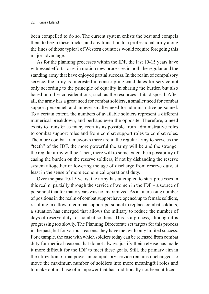been compelled to do so. The current system enlists the best and compels them to begin these tracks, and any transition to a professional army along the lines of those typical of Western countries would require foregoing this major advantage.

As for the planning processes within the IDF, the last 10-15 years have witnessed efforts to set in motion new processes in both the regular and the standing army that have enjoyed partial success. In the realm of compulsory service, the army is interested in conscripting candidates for service not only according to the principle of equality in sharing the burden but also based on other considerations, such as the resources at its disposal. After all, the army has a great need for combat soldiers, a smaller need for combat support personnel, and an ever smaller need for administrative personnel. To a certain extent, the numbers of available soldiers represent a different numerical breakdown, and perhaps even the opposite. Therefore, a need exists to transfer as many recruits as possible from administrative roles to combat support roles and from combat support roles to combat roles. The more combat frameworks there are in the regular army to serve as the "teeth" of the IDF, the more powerful the army will be and the stronger the regular army will be. Then, there will to some extent be a possibility of easing the burden on the reserve soldiers, if not by disbanding the reserve system altogether or lowering the age of discharge from reserve duty, at least in the sense of more economical operational duty.

Over the past 10-15 years, the army has attempted to start processes in this realm, partially through the service of women in the IDF – a source of personnel that for many years was not maximized. As an increasing number of positions in the realm of combat support have opened up to female soldiers, resulting in a flow of combat support personnel to replace combat soldiers, a situation has emerged that allows the military to reduce the number of days of reserve duty for combat soldiers. This is a process, although it is progressing too slowly. The Planning Directorate set targets for this process in the past, but for various reasons, they have met with only limited success. For example, the ease with which soldiers today can be released from combat duty for medical reasons that do not always justify their release has made it more difficult for the IDF to meet these goals. Still, the primary aim in the utilization of manpower in compulsory service remains unchanged: to move the maximum number of soldiers into more meaningful roles and to make optimal use of manpower that has traditionally not been utilized.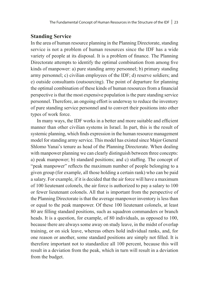### **Standing Service**

In the area of human resource planning in the Planning Directorate, standing service is not a problem of human resources since the IDF has a wide variety of people at its disposal. It is a problem of finance. The Planning Directorate attempts to identify the optimal combination from among five kinds of manpower: a) pure standing army personnel; b) primary standing army personnel; c) civilian employees of the IDF; d) reserve soldiers; and e) outside consultants (outsourcing). The point of departure for planning the optimal combination of these kinds of human resources from a financial perspective is that the most expensive population is the pure standing service personnel. Therefore, an ongoing effort is underway to reduce the inventory of pure standing service personnel and to convert their positions into other types of work force.

In many ways, the IDF works in a better and more suitable and efficient manner than other civilian systems in Israel. In part, this is the result of systemic planning, which finds expression in the human resource management model for standing army service. This model has existed since Major General Shlomo Yanai's tenure as head of the Planning Directorate. When dealing with manpower planning we can clearly distinguish between three concepts: a) peak manpower; b) standard positions; and c) staffing. The concept of "peak manpower" reflects the maximum number of people belonging to a given group (for example, all those holding a certain rank) who can be paid a salary. For example, if it is decided that the air force will have a maximum of 100 lieutenant colonels, the air force is authorized to pay a salary to 100 or fewer lieutenant colonels. All that is important from the perspective of the Planning Directorate is that the average manpower inventory is less than or equal to the peak manpower. Of these 100 lieutenant colonels, at least 80 are filling standard positions, such as squadron commanders or branch heads. It is a question, for example, of 80 individuals, as opposed to 100, because there are always some away on study leave, in the midst of overlap training, or on sick leave, whereas others hold individual ranks, and, for one reason or another, some standard positions are simply not filled. It is therefore important not to standardize all 100 percent, because this will result in a deviation from the peak, which in turn will result in a deviation from the budget.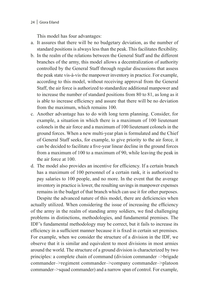#### 24 | Giora Eiland

This model has four advantages:

- a. It assures that there will be no budgetary deviation, as the number of standard positions is always less than the peak. This facilitates flexibility.
- b. In the realm of the relations between the General Staff and the different branches of the army, this model allows a decentralization of authority controlled by the General Staff through regular discussions that assess the peak state vis-à-vis the manpower inventory in practice. For example, according to this model, without receiving approval from the General Staff, the air force is authorized to standardize additional manpower and to increase the number of standard positions from 80 to 81, as long as it is able to increase efficiency and assure that there will be no deviation from the maximum, which remains 100.
- c. Another advantage has to do with long term planning. Consider, for example, a situation in which there is a maximum of 100 lieutenant colonels in the air force and a maximum of 100 lieutenant colonels in the ground forces. When a new multi-year plan is formulated and the Chief of General Staff seeks, for example, to give priority to the air force, it can be decided to facilitate a five-year linear decline in the ground forces from a maximum of 100 to a maximum of 90, while leaving the peak in the air force at 100.
- d. The model also provides an incentive for efficiency. If a certain branch has a maximum of 100 personnel of a certain rank, it is authorized to pay salaries to 100 people, and no more. In the event that the average inventory in practice is lower, the resulting savings in manpower expenses remains in the budget of that branch which can use it for other purposes.

Despite the advanced nature of this model, there are deficiencies when actually utilized. When considering the issue of increasing the efficiency of the army in the realm of standing army soldiers, we find challenging problems in distinctions, methodologies, and fundamental premises. The IDF's fundamental methodology may be correct, but it fails to increase its efficiency in a sufficient manner because it is fixed in certain set premises. For example, when we consider the structure of a division in the IDF, we observe that it is similar and equivalent to most divisions in most armies around the world. The structure of a ground division is characterized by two principles: a complete chain of command (division commander –>brigade commander–>regiment commander–>company commander–>platoon commander–>squad commander) and a narrow span of control. For example,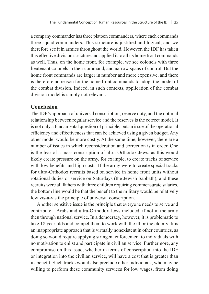a company commander has three platoon commanders, where each commands three squad commanders. This structure is justified and logical, and we therefore see it in armies throughout the world. However, the IDF has taken this effective division structure and applied it to all its home front commands as well. Thus, on the home front, for example, we see colonels with three lieutenant colonels in their command, and narrow spans of control. But the home front commands are larger in number and more expensive, and there is therefore no reason for the home front commands to adopt the model of the combat division. Indeed, in such contexts, application of the combat division model is simply not relevant.

#### **Conclusion**

The IDF's approach of universal conscription, reserve duty, and the optimal relationship between regular service and the reserves is the correct model. It is not only a fundamental question of principle, but an issue of the operational efficiency and effectiveness that can be achieved using a given budget. Any other model would be more costly. At the same time, however, there are a number of issues in which reconsideration and correction is in order. One is the fear of a mass conscription of ultra-Orthodox Jews, as this would likely create pressure on the army, for example, to create tracks of service with low benefits and high costs. If the army were to create special tracks for ultra-Orthodox recruits based on service in home front units without rotational duties or service on Saturdays (the Jewish Sabbath), and these recruits were all fathers with three children requiring commensurate salaries, the bottom line would be that the benefit to the military would be relatively low vis-à-vis the principle of universal conscription.

Another sensitive issue is the principle that everyone needs to serve and contribute – Arabs and ultra-Orthodox Jews included, if not in the army then through national service. In a democracy, however, it is problematic to take 18 year olds and compel them to work with the ill or the elderly. It is an inappropriate approach that is virtually nonexistent in other countries, as doing so would require applying stringent enforcement to individuals with no motivation to enlist and participate in civilian service. Furthermore, any compromise on this issue, whether in terms of conscription into the IDF or integration into the civilian service, will have a cost that is greater than its benefit. Such tracks would also preclude other individuals, who may be willing to perform these community services for low wages, from doing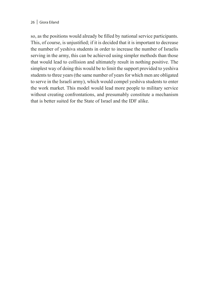#### 26 | Giora Eiland

so, as the positions would already be filled by national service participants. This, of course, is unjustified; if it is decided that it is important to decrease the number of yeshiva students in order to increase the number of Israelis serving in the army, this can be achieved using simpler methods than those that would lead to collision and ultimately result in nothing positive. The simplest way of doing this would be to limit the support provided to yeshiva students to three years (the same number of years for which men are obligated to serve in the Israeli army), which would compel yeshiva students to enter the work market. This model would lead more people to military service without creating confrontations, and presumably constitute a mechanism that is better suited for the State of Israel and the IDF alike.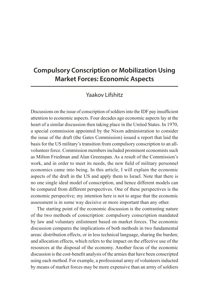## **Compulsory Conscription or Mobilization Using Market Forces: Economic Aspects**

## Yaakov Lifshitz

Discussions on the issue of conscription of soldiers into the IDF pay insufficient attention to economic aspects. Four decades ago economic aspects lay at the heart of a similar discussion then taking place in the United States. In 1970, a special commission appointed by the Nixon administration to consider the issue of the draft (the Gates Commission) issued a report that laid the basis for the US military's transition from compulsory conscription to an allvolunteer force. Commission members included prominent economists such as Milton Friedman and Alan Greenspan. As a result of the Commission's work, and in order to meet its needs, the new field of military personnel economics came into being. In this article, I will explain the economic aspects of the draft in the US and apply them to Israel. Note that there is no one single ideal model of conscription, and hence different models can be compared from different perspectives. One of these perspectives is the economic perspective; my intention here is not to argue that the economic assessment is in some way decisive or more important than any other.

The starting point of the economic discussion is the contrasting nature of the two methods of conscription: compulsory conscription mandated by law and voluntary enlistment based on market forces. The economic discussion compares the implications of both methods in two fundamental areas: distribution effects, or in less technical language, sharing the burden; and allocation effects, which refers to the impact on the effective use of the resources at the disposal of the economy. Another focus of the economic discussion is the cost-benefit analysis of the armies that have been conscripted using each method. For example, a professional army of volunteers inducted by means of market forces may be more expensive than an army of soldiers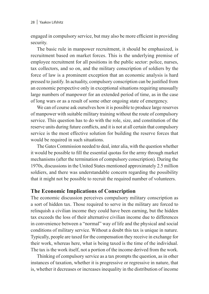engaged in compulsory service, but may also be more efficient in providing security.

The basic rule in manpower recruitment, it should be emphasized, is recruitment based on market forces. This is the underlying premise of employee recruitment for all positions in the public sector: police, nurses, tax collectors, and so on, and the military conscription of soldiers by the force of law is a prominent exception that an economic analysis is hard pressed to justify. In actuality, compulsory conscription can be justified from an economic perspective only in exceptional situations requiring unusually large numbers of manpower for an extended period of time, as in the case of long wars or as a result of some other ongoing state of emergency.

We can of course ask ourselves how it is possible to produce large reserves of manpower with suitable military training without the route of compulsory service. This question has to do with the role, size, and constitution of the reserve units during future conflicts, and it is not at all certain that compulsory service is the most effective solution for building the reserve forces that would be required in such situations.

The Gates Commission needed to deal, inter alia, with the question whether it would be possible to fill the essential quotas for the army through market mechanisms (after the termination of compulsory conscription). During the 1970s, discussions in the United States mentioned approximately 2.5 million soldiers, and there was understandable concern regarding the possibility that it might not be possible to recruit the required number of volunteers.

### **The Economic Implications of Conscription**

The economic discussion perceives compulsory military conscription as a sort of hidden tax. Those required to serve in the military are forced to relinquish a civilian income they could have been earning, but the hidden tax exceeds the loss of their alternative civilian income due to differences in convenience between a "normal" way of life and the physical and social conditions of military service. Without a doubt this tax is unique in nature. Typically, people are taxed for the compensation they receive in exchange for their work, whereas here, what is being taxed is the time of the individual. The tax is the work itself, not a portion of the income derived from the work.

Thinking of compulsory service as a tax prompts the question, as in other instances of taxation, whether it is progressive or regressive in nature, that is, whether it decreases or increases inequality in the distribution of income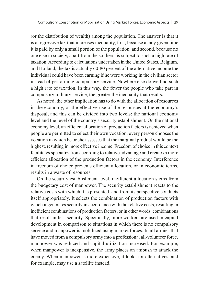(or the distribution of wealth) among the population. The answer is that it is a regressive tax that increases inequality, first, because at any given time it is paid by only a small portion of the population, and second, because no one else in society, apart from the soldiers, is subject to such a high rate of taxation. According to calculations undertaken in the United States, Belgium, and Holland, the tax is actually 60-80 percent of the alternative income the individual could have been earning if he were working in the civilian sector instead of performing compulsory service. Nowhere else do we find such a high rate of taxation. In this way, the fewer the people who take part in compulsory military service, the greater the inequality that results.

As noted, the other implication has to do with the allocation of resources in the economy, or the effective use of the resources at the economy's disposal, and this can be divided into two levels: the national economy level and the level of the country's security establishment. On the national economy level, an efficient allocation of production factors is achieved when people are permitted to select their own vocation: every person chooses the vocation in which he or she assesses that the marginal product would be the highest, resulting in more effective income. Freedom of choice in this context facilitates specialization according to relative advantage and creates a more efficient allocation of the production factors in the economy. Interference in freedom of choice prevents efficient allocation, or in economic terms, results in a waste of resources.

On the security establishment level, inefficient allocation stems from the budgetary cost of manpower. The security establishment reacts to the relative costs with which it is presented, and from its perspective conducts itself appropriately. It selects the combination of production factors with which it generates security in accordance with the relative costs, resulting in inefficient combinations of production factors, or in other words, combinations that result in less security. Specifically, more workers are used in capital development in comparison to situations in which there is no compulsory service and manpower is mobilized using market forces. In all armies that have moved from a compulsory army into a professional all-volunteer force, manpower was reduced and capital utilization increased. For example, when manpower is inexpensive, the army places an ambush to attack the enemy. When manpower is more expensive, it looks for alternatives, and for example, may use a satellite instead.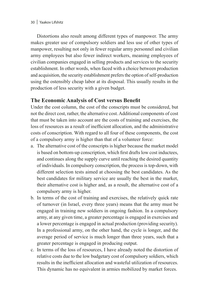#### 30 | Yaakov Lifshitz

Distortions also result among different types of manpower. The army makes greater use of compulsory soldiers and less use of other types of manpower, resulting not only in fewer regular army personnel and civilian army employees but also fewer indirect workers, meaning employees of civilian companies engaged in selling products and services to the security establishment. In other words, when faced with a choice between production and acquisition, the security establishment prefers the option of self-production using the ostensibly cheap labor at its disposal. This usually results in the production of less security with a given budget.

### **The Economic Analysis of Cost versus Benefit**

Under the cost column, the cost of the conscripts must be considered, but not the direct cost, rather, the alternative cost. Additional components of cost that must be taken into account are the costs of training and exercises, the loss of resources as a result of inefficient allocation, and the administrative costs of conscription. With regard to all four of these components, the cost of a compulsory army is higher than that of a volunteer force:

- a. The alternative cost of the conscripts is higher because the market model is based on bottom-up conscription, which first drafts low cost inductees, and continues along the supply curve until reaching the desired quantity of individuals. In compulsory conscription, the process is top-down, with different selection tests aimed at choosing the best candidates. As the best candidates for military service are usually the best in the market, their alternative cost is higher and, as a result, the alternative cost of a compulsory army is higher.
- b. In terms of the cost of training and exercises, the relatively quick rate of turnover (in Israel, every three years) means that the army must be engaged in training new soldiers in ongoing fashion. In a compulsory army, at any given time, a greater percentage is engaged in exercises and a lower percentage is engaged in actual production (providing security). In a professional army, on the other hand, the cycle is longer, and the average period of service is much longer than three years, such that a greater percentage is engaged in producing output.
- c. In terms of the loss of resources, I have already noted the distortion of relative costs due to the low budgetary cost of compulsory soldiers, which results in the inefficient allocation and wasteful utilization of resources. This dynamic has no equivalent in armies mobilized by market forces.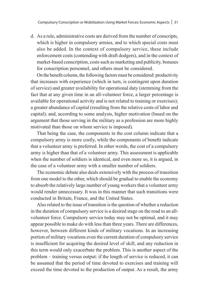d. As a rule, administrative costs are derived from the number of conscripts, which is higher in compulsory armies, and to which special costs must also be added. In the context of compulsory service, these include enforcement costs (contending with draft dodgers), and in the context of market-based conscription, costs such as marketing and publicity, bonuses for conscription personnel, and others must be considered.

On the benefit column, the following factors must be considered: productivity that increases with experience (which in turn, is contingent upon duration of service) and greater availability for operational duty (stemming from the fact that at any given time in an all-volunteer force, a larger percentage is available for operational activity and is not related to training or exercises); a greater abundance of capital (resulting from the relative costs of labor and capital); and, according to some analysts, higher motivation (based on the argument that those serving in the military as a profession are more highly motivated than those on whom service is imposed).

That being the case, the components in the cost column indicate that a compulsory army is more costly, while the components of benefit indicate that a volunteer army is preferred. In other words, the cost of a compulsory army is higher than that of a volunteer army. This assessment is applicable when the number of soldiers is identical, and even more so, it is argued, in the case of a volunteer army with a smaller number of soldiers.

The economic debate also deals extensively with the process of transition from one model to the other, which should be gradual to enable the economy to absorb the relatively large number of young workers that a volunteer army would render unnecessary. It was in this manner that such transitions were conducted in Britain, France, and the United States.

Also related to the issue of transition is the question of whether a reduction in the duration of compulsory service is a desired stage on the road to an allvolunteer force. Compulsory service today may not be optimal, and it may appear possible to make do with less than three years. There are differences, however, between different kinds of military vocations. In an increasing portion of military vocations even the current duration of compulsory service is insufficient for acquiring the desired level of skill, and any reduction in this term would only exacerbate the problem. This is another aspect of the problem – training versus output: if the length of service is reduced, it can be assumed that the period of time devoted to exercises and training will exceed the time devoted to the production of output. As a result, the army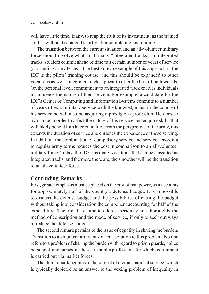will have little time, if any, to reap the fruit of its investment, as the trained soldier will be discharged shortly after completing his training.

The transition between the current situation and an all-volunteer military force should involve what I call many "integrated tracks." In integrated tracks, soldiers commit ahead of time to a certain number of years of service (at standing army terms). The best known example of this approach in the IDF is the pilots' training course, and this should be expanded to other vocations as well. Integrated tracks appear to offer the best of both worlds. On the personal level, commitment to an integrated track enables individuals to influence the nature of their service. For example, a candidate for the IDF's Center of Computing and Information Systems commits to a number of years of extra military service with the knowledge that in the course of his service he will also be acquiring a prestigious profession. He does so by choice in order to affect the nature of his service and acquire skills that will likely benefit him later on in life. From the perspective of the army, this extends the duration of service and enriches the experience of those serving. In addition, the combination of compulsory service and service according to regular army terms reduces the cost in comparison to an all-volunteer military force. Today, the IDF has many vocations that can be classified as integrated tracks, and the more there are, the smoother will be the transition to an all-volunteer force.

### **Concluding Remarks**

First, greater emphasis must be placed on the cost of manpower, as it accounts for approximately half of the country's defense budget. It is impossible to discuss the defense budget and the possibilities of cutting the budget without taking into consideration the component accounting for half of the expenditure. The time has come to address seriously and thoroughly the method of conscription and the mode of service, if only to seek out ways to reduce the defense budget.

The second remark pertains to the issue of equality in sharing the burden. Transition to a volunteer army may offer a solution to this problem. No one refers to a problem of sharing the burden with regard to prison guards, police personnel, and nurses, as these are public professions for which recruitment is carried out via market forces.

The third remark pertains to the subject of civilian national service, which is typically depicted as an answer to the vexing problem of inequality in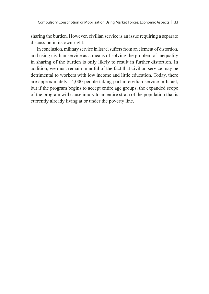sharing the burden. However, civilian service is an issue requiring a separate discussion in its own right.

In conclusion, military service in Israel suffers from an element of distortion, and using civilian service as a means of solving the problem of inequality in sharing of the burden is only likely to result in further distortion. In addition, we must remain mindful of the fact that civilian service may be detrimental to workers with low income and little education. Today, there are approximately 14,000 people taking part in civilian service in Israel, but if the program begins to accept entire age groups, the expanded scope of the program will cause injury to an entire strata of the population that is currently already living at or under the poverty line.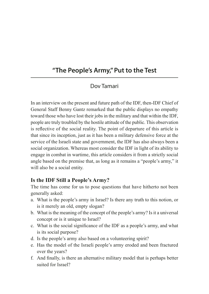# **"The People's Army," Put to the Test**

# Dov Tamari

In an interview on the present and future path of the IDF, then-IDF Chief of General Staff Benny Gantz remarked that the public displays no empathy toward those who have lost their jobs in the military and that within the IDF, people are truly troubled by the hostile attitude of the public. This observation is reflective of the social reality. The point of departure of this article is that since its inception, just as it has been a military defensive force at the service of the Israeli state and government, the IDF has also always been a social organization. Whereas most consider the IDF in light of its ability to engage in combat in wartime, this article considers it from a strictly social angle based on the premise that, as long as it remains a "people's army," it will also be a social entity.

# **Is the IDF Still a People's Army?**

The time has come for us to pose questions that have hitherto not been generally asked:

- a. What is the people's army in Israel? Is there any truth to this notion, or is it merely an old, empty slogan?
- b. What is the meaning of the concept of the people's army? Is it a universal concept or is it unique to Israel?
- c. What is the social significance of the IDF as a people's army, and what is its social purpose?
- d. Is the people's army also based on a volunteering spirit?
- e. Has the model of the Israeli people's army eroded and been fractured over the years?
- f. And finally, is there an alternative military model that is perhaps better suited for Israel?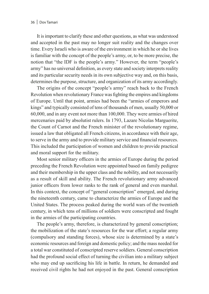It is important to clarify these and other questions, as what was understood and accepted in the past may no longer suit reality and the changes over time. Every Israeli who is aware of the environment in which he or she lives is familiar with the concept of the people's army, or, to be more precise, the notion that "the IDF is the people's army." However, the term "people's army" has no universal definition, as every state and society interprets reality and its particular security needs in its own subjective way and, on this basis, determines the purpose, structure, and organization of its army accordingly.

The origins of the concept "people's army" reach back to the French Revolution when revolutionary France was fighting the empires and kingdoms of Europe. Until that point, armies had been the "armies of emperors and kings" and typically consisted of tens of thousands of men, usually 50,000 or 60,000, and in any event not more than 100,000. They were armies of hired mercenaries paid by absolutist rulers. In 1793, Lazare Nicolas Marguerite, the Count of Carnot and the French minister of the revolutionary regime, issued a law that obligated all French citizens, in accordance with their age, to serve in the army and to provide military service and financial resources. This included the participation of women and children to provide practical and moral support for the military.

Most senior military officers in the armies of Europe during the period preceding the French Revolution were appointed based on family pedigree and their membership in the upper class and the nobility, and not necessarily as a result of skill and ability. The French revolutionary army advanced junior officers from lower ranks to the rank of general and even marshal. In this context, the concept of "general conscription" emerged, and during the nineteenth century, came to characterize the armies of Europe and the United States. The process peaked during the world wars of the twentieth century, in which tens of millions of soldiers were conscripted and fought in the armies of the participating countries.

The people's army, therefore, is characterized by general conscription; the mobilization of the state's resources for the war effort; a regular army (compulsory and standing forces), whose size is determined by a state's economic resources and foreign and domestic policy; and the mass needed for a total war constituted of conscripted reserve soldiers. General conscription had the profound social effect of turning the civilian into a military subject who may end up sacrificing his life in battle. In return, he demanded and received civil rights he had not enjoyed in the past. General conscription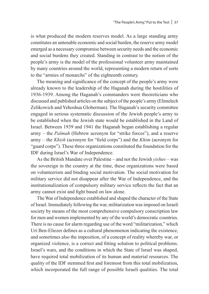is what produced the modern reserves model. As a large standing army constitutes an untenable economic and social burden, the reserve army model emerged as a necessary compromise between security needs and the economic and social burdens they created. Standing in contrast to the notion of the people's army is the model of the professional volunteer army maintained by many countries around the world, representing a modern return of sorts to the "armies of monarchs" of the eighteenth century.

The meaning and significance of the concept of the people's army were already known to the leadership of the Haganah during the hostilities of 1936-1939. Among the Haganah's commanders were theoreticians who discussed and published articles on the subject of the people's army (Elimelech Zelikowich and Yehoshua Globerman). The Haganah's security committee engaged in serious systematic discussion of the Jewish people's army to be established when the Jewish state would be established in the Land of Israel. Between 1939 and 1941 the Haganah began establishing a regular army – the *Palmah* (Hebrew acronym for "strike forces"), and a reserve army – the *Khish* (acronym for "field corps") and the *Khim* (acronym for "guard corps"). These three organizations constituted the foundation for the IDF during Israel's War of Independence.

As the British Mandate over Palestine – and not the Jewish *yishuv* – was the sovereign in the country at the time, these organizations were based on volunteerism and binding social motivation. The social motivation for military service did not disappear after the War of Independence, and the institutionalization of compulsory military service reflects the fact that an army cannot exist and fight based on law alone.

The War of Independence established and shaped the character of the State of Israel. Immediately following the war, militarization was imposed on Israeli society by means of the most comprehensive compulsory conscription law for men and women implemented by any of the world's democratic countries. There is no cause for alarm regarding use of the word "militarization," which Uri Ben-Eliezer defines as a cultural phenomenon indicating the existence, and sometimes also the imposition, of a concept of reality whereby war, or organized violence, is a correct and fitting solution to political problems. Israel's wars, and the conditions in which the State of Israel was shaped, have required total mobilization of its human and material resources. The quality of the IDF stemmed first and foremost from this total mobilization, which incorporated the full range of possible Israeli qualities. The total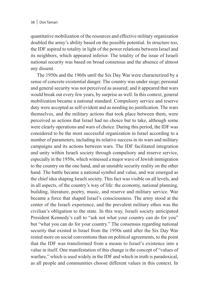quantitative mobilization of the resources and effective military organization doubled the army's ability based on the possible potential. In structure too, the IDF aspired to totality in light of the power relations between Israel and its neighbors, which appeared inferior. The totality of the issue of Israeli national security was based on broad consensus and the absence of almost any dissent.

The 1950s and the 1960s until the Six Day War were characterized by a sense of concrete existential danger. The country was under siege; personal and general security was not perceived as assured; and it appeared that wars would break out every few years, by surprise as well. In this context, general mobilization became a national standard. Compulsory service and reserve duty were accepted as self-evident and as needing no justification. The wars themselves, and the military actions that took place between them, were perceived as actions that Israel had no choice but to take, although some were clearly operations and wars of choice. During this period, the IDF was considered to be the most successful organization in Israel according to a number of parameters, including its relative success in its wars and military campaigns and its actions between wars. The IDF facilitated integration and unity within Israeli society through compulsory and reserve service, especially in the 1950s, which witnessed a major wave of Jewish immigration to the country on the one hand, and an unstable security reality on the other hand. The battle became a national symbol and value, and war emerged as the chief idea shaping Israeli society. This fact was visible on all levels, and in all aspects, of the country's way of life: the economy, national planning, building, literature, poetry, music, and reserve and military service. War became a force that shaped Israel's consciousness. The army stood at the center of the Israeli experience, and the prevalent military ethos was the civilian's obligation to the state. In this way, Israeli society anticipated President Kennedy's call to "ask not what your country can do for you" but "what you can do for your country." The consensus regarding national security that existed in Israel from the 1950s until after the Six Day War rested more on social conventions than on political agreements, to the point that the IDF was transformed from a means to Israel's existence into a value in itself. One manifestation of this change is the concept of "values of warfare," which is used widely in the IDF and which in truth is paradoxical, as all people and communities choose different values in this context. In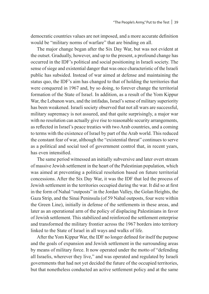democratic countries values are not imposed, and a more accurate definition would be "military norms of warfare" that are binding on all.

The major change began after the Six Day War, but was not evident at the outset. Gradually, however, and up to the present, a profound change has occurred in the IDF's political and social positioning in Israeli society. The sense of siege and existential danger that was once characteristic of the Israeli public has subsided. Instead of war aimed at defense and maintaining the status quo, the IDF's aim has changed to that of holding the territories that were conquered in 1967 and, by so doing, to forever change the territorial formation of the State of Israel. In addition, as a result of the Yom Kippur War, the Lebanon wars, and the intifadas, Israel's sense of military superiority has been weakened. Israeli society observed that not all wars are successful, military supremacy is not assured, and that quite surprisingly, a major war with no resolution can actually give rise to reasonable security arrangements, as reflected in Israel's peace treaties with two Arab countries, and a coming to terms with the existence of Israel by part of the Arab world. This reduced the constant fear of war, although the "existential threat" continues to serve as a political and social tool of government control that, in recent years, has even intensified.

The same period witnessed an initially subversive and later overt stream of massive Jewish settlement in the heart of the Palestinian population, which was aimed at preventing a political resolution based on future territorial concessions. After the Six Day War, it was the IDF that led the process of Jewish settlement in the territories occupied during the war. It did so at first in the form of Nahal "outposts" in the Jordan Valley, the Golan Heights, the Gaza Strip, and the Sinai Peninsula (of 59 Nahal outposts, four were within the Green Line), initially in defense of the settlements in these areas, and later as an operational arm of the policy of displacing Palestinians in favor of Jewish settlement. This stabilized and reinforced the settlement enterprise and transformed the military frontier across the 1967 borders into territory linked to the State of Israel in all ways and walks of life.

After the Yom Kippur War, the IDF no longer defined for itself the purpose and the goals of expansion and Jewish settlement in the surrounding areas by means of military force. It now operated under the motto of "defending all Israelis, wherever they live," and was operated and regulated by Israeli governments that had not yet decided the future of the occupied territories, but that nonetheless conducted an active settlement policy and at the same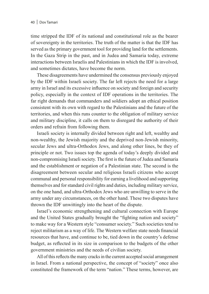time stripped the IDF of its national and constitutional role as the bearer of sovereignty in the territories. The truth of the matter is that the IDF has served as the primary government tool for providing land for the settlements. In the Gaza Strip in the past, and in Judea and Samaria today, extreme interactions between Israelis and Palestinians in which the IDF is involved, and sometimes dictates, have become the norm.

These disagreements have undermined the consensus previously enjoyed by the IDF within Israeli society. The far left rejects the need for a large army in Israel and its excessive influence on society and foreign and security policy, especially in the context of IDF operations in the territories. The far right demands that commanders and soldiers adopt an ethical position consistent with its own with regard to the Palestinians and the future of the territories, and when this runs counter to the obligation of military service and military discipline, it calls on them to disregard the authority of their orders and refrain from following them.

Israeli society is internally divided between right and left, wealthy and non-wealthy, the Jewish majority and the deprived non-Jewish minority, secular Jews and ultra-Orthodox Jews, and along other lines, be they of principle or not. Two issues top the agenda of today's deeply divided and non-compromising Israeli society. The first is the future of Judea and Samaria and the establishment or negation of a Palestinian state. The second is the disagreement between secular and religious Israeli citizens who accept communal and personal responsibility for earning a livelihood and supporting themselves and for standard civil rights and duties, including military service, on the one hand, and ultra-Orthodox Jews who are unwilling to serve in the army under any circumstances, on the other hand. These two disputes have thrown the IDF unwittingly into the heart of the dispute.

Israel's economic strengthening and cultural connection with Europe and the United States gradually brought the "fighting nation and society" to make way for a Western style "consumer society." Such societies tend to reject militarism as a way of life. The Western welfare state needs financial resources that have, and continue to be, tied down in the country's defense budget, as reflected in its size in comparison to the budgets of the other government ministries and the needs of civilian society.

All of this reflects the many cracks in the current accepted social arrangement in Israel. From a national perspective, the concept of "society" once also constituted the framework of the term "nation." These terms, however, are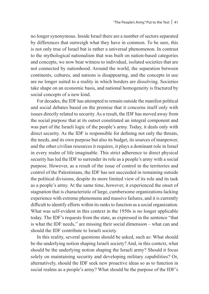no longer synonymous. Inside Israel there are a number of sectors separated by differences that outweigh what they have in common. To be sure, this is not only true of Israel but is rather a universal phenomenon. In contrast to the mythological nationalism that was built on nation-based categories and concepts, we now bear witness to individual, isolated societies that are not connected by nationhood. Around the world, the separation between continents, cultures, and nations is disappearing, and the concepts in use are no longer suited to a reality in which borders are dissolving. Societies take shape on an economic basis, and national homogeneity is fractured by social concepts of a new kind.

For decades, the IDF has attempted to remain outside the manifest political and social debates based on the premise that it concerns itself only with issues directly related to security. As a result, the IDF has moved away from the social purpose that at its outset constituted an integral component and was part of the Israeli logic of the people's army. Today, it deals only with direct security. As the IDF is responsible for defining not only the threats, the needs, and its own purpose but also its budget, its sources of manpower, and the other civilian resources it requires, it plays a dominant role in Israel in every realm of life imaginable. This strict adherence to direct physical security has led the IDF to surrender its role as a people's army with a social purpose. However, as a result of the issue of control in the territories and control of the Palestinians, the IDF has not succeeded in remaining outside the political divisions, despite its more limited view of its role and its task as a people's army. At the same time, however, it experienced the onset of stagnation that is characteristic of large, cumbersome organizations lacking experience with extreme phenomena and massive failures, and it is currently difficult to identify efforts within its ranks to function as a social organization. What was self-evident in this context in the 1950s is no longer applicable today. The IDF's requests from the state, as expressed in the sentence "that is what the IDF needs," are missing their social dimension – what can and should the IDF contribute to Israeli society.

In this reality, several questions should be asked, such as: What should be the underlying notion shaping Israeli society? And, in this context, what should be the underlying notion shaping the Israeli army? Should it focus solely on maintaining security and developing military capabilities? Or, alternatively, should the IDF seek new proactive ideas so as to function in social realms as a people's army? What should be the purpose of the IDF's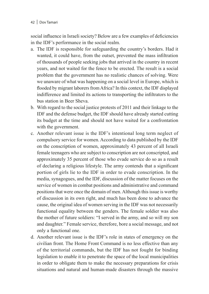#### 42 | Dov Tamari

social influence in Israeli society? Below are a few examples of deficiencies in the IDF's performance in the social realm.

- a. The IDF is responsible for safeguarding the country's borders. Had it wanted, it could have, from the outset, prevented the mass infiltration of thousands of people seeking jobs that arrived in the country in recent years, and not waited for the fence to be erected. The result is a social problem that the government has no realistic chances of solving. Were we unaware of what was happening on a social level in Europe, which is flooded by migrant laborers from Africa? In this context, the IDF displayed indifference and limited its actions to transporting the infiltrators to the bus station in Beer Sheva.
- b. With regard to the social justice protests of 2011 and their linkage to the IDF and the defense budget, the IDF should have already started cutting its budget at the time and should not have waited for a confrontation with the government.
- c. Another relevant issue is the IDF's intentional long term neglect of compulsory service for women. According to data published by the IDF on the conscription of women, approximately 43 percent of all Israeli female teenagers who are subject to conscription are not conscripted, and approximately 35 percent of those who evade service do so as a result of declaring a religious lifestyle. The army contends that a significant portion of girls lie to the IDF in order to evade conscription. In the media, synagogues, and the IDF, discussion of the matter focuses on the service of women in combat positions and administrative and command positions that were once the domain of men. Although this issue is worthy of discussion in its own right, and much has been done to advance the cause, the original idea of women serving in the IDF was not necessarily functional equality between the genders. The female soldier was also the mother of future soldiers: "I served in the army, and so will my son and daughter." Female service, therefore, bore a social message, and not only a functional one.
- d. Another relevant issue is the IDF's role in states of emergency on the civilian front. The Home Front Command is no less effective than any of the territorial commands, but the IDF has not fought for binding legislation to enable it to penetrate the space of the local municipalities in order to obligate them to make the necessary preparations for crisis situations and natural and human-made disasters through the massive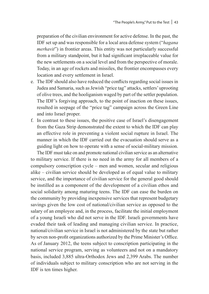preparation of the civilian environment for active defense. In the past, the IDF set up and was responsible for a local area defense system ("*hagana merhavit*") in frontier areas. This entity was not particularly successful from a military standpoint, but it had significant irreplaceable value for the new settlements on a social level and from the perspective of morale. Today, in an age of rockets and missiles, the frontier encompasses every location and every settlement in Israel.

- e. The IDF should also have reduced the conflicts regarding social issues in Judea and Samaria, such as Jewish "price tag" attacks, settlers' uprooting of olive trees, and the hooliganism waged by part of the settler population. The IDF's forgiving approach, to the point of inaction on these issues, resulted in seepage of the "price tag" campaign across the Green Line and into Israel proper.
- f. In contrast to these issues, the positive case of Israel's disengagement from the Gaza Strip demonstrated the extent to which the IDF can play an effective role in preventing a violent social rupture in Israel. The manner in which the IDF carried out the evacuation should serve as a guiding light on how to operate with a sense of social-military mission.

The IDF must take on and promote national civilian service as an alternative to military service. If there is no need in the army for all members of a compulsory conscription cycle – men and women, secular and religious alike – civilian service should be developed as of equal value to military service, and the importance of civilian service for the general good should be instilled as a component of the development of a civilian ethos and social solidarity among maturing teens. The IDF can ease the burden on the community by providing inexpensive services that represent budgetary savings given the low cost of national/civilian service as opposed to the salary of an employee and, in the process, facilitate the initial employment of a young Israeli who did not serve in the IDF. Israeli governments have evaded their task of leading and managing civilian service. In practice, national/civilian service in Israel is not administered by the state but rather by seven non-profit organizations authorized by the Prime Minister's Office. As of January 2012, the teens subject to conscription participating in the national service program, serving as volunteers and not on a mandatory basis, included 3,885 ultra-Orthodox Jews and 2,399 Arabs. The number of individuals subject to military conscription who are not serving in the IDF is ten times higher.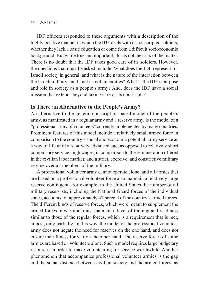IDF officers responded to these arguments with a description of the highly positive manner in which the IDF deals with its conscripted soldiers, whether they lack a basic education or come from a difficult socioeconomic background. But while true and important, this is not the crux of the matter. There is no doubt that the IDF takes good care of its soldiers. However, the questions that must be asked include: What does the IDF represent for Israeli society in general, and what is the nature of the interaction between the Israeli military and Israel's civilian entities? What is the IDF's purpose and role in society as a people's army? And, does the IDF have a social mission that extends beyond taking care of its conscripts?

## **Is There an Alternative to the People's Army?**

An alternative to the general conscription-based model of the people's army, as manifested in a regular army and a reserve army, is the model of a "professional army of volunteers" currently implemented by many countries. Prominent features of this model include a relatively small armed force in comparison to the country's social and economic potential; army service as a way of life until a relatively advanced age, as opposed to relatively short compulsory service; high wages, in comparison to the remuneration offered in the civilian labor market; and a strict, coercive, and constrictive military regime over all members of the military.

A professional volunteer army cannot operate alone, and all armies that are based on a professional volunteer force also maintain a relatively large reserve contingent. For example, in the United States the number of all military reservists, including the National Guard forces of the individual states, accounts for approximately 47 percent of the country's armed forces. The different kinds of reserve forces, which were meant to supplement the armed forces in wartime, must maintain a level of training and readiness similar to those of the regular forces, which is a requirement that is met, at best, only partially. In this way, the model of the professional volunteer army does not negate the need for reserves on the one hand, and does not ensure their fitness for war on the other hand. The reserve forces of some armies are based on volunteers alone. Such a model requires large budgetary resources in order to make volunteering for service worthwhile. Another phenomenon that accompanies professional volunteer armies is the gap and the social distance between civilian society and the armed forces, as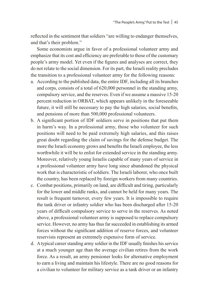reflected in the sentiment that soldiers "are willing to endanger themselves, and that's their problem."

Some economists argue in favor of a professional volunteer army and emphasize that its cost and efficiency are preferable to those of the customary people's army model. Yet even if the figures and analyses are correct, they do not relate to the social dimension. For its part, the Israeli reality precludes the transition to a professional volunteer army for the following reasons:

- a. According to the published data, the entire IDF, including all its branches and corps, consists of a total of 620,000 personnel in the standing army, compulsory service, and the reserves. Even if we assume a massive 15-20 percent reduction in ORBAT, which appears unlikely in the foreseeable future, it will still be necessary to pay the high salaries, social benefits, and pensions of more than 500,000 professional volunteers.
- b. A significant portion of IDF soldiers serve in positions that put them in harm's way. In a professional army, those who volunteer for such positions will need to be paid extremely high salaries, and this raises great doubt regarding the claim of savings for the defense budget. The more the Israeli economy grows and benefits the Israeli employee, the less worthwhile it will be to enlist for extended service in the standing army. Moreover, relatively young Israelis capable of many years of service in a professional volunteer army have long since abandoned the physical work that is characteristic of soldiers. The Israeli laborer, who once built the country, has been replaced by foreign workers from many countries.
- c. Combat positions, primarily on land, are difficult and tiring, particularly for the lower and middle ranks, and cannot be held for many years. The result is frequent turnover, every few years. It is impossible to require the tank driver or infantry soldier who has been discharged after 15-20 years of difficult compulsory service to serve in the reserves. As noted above, a professional volunteer army is supposed to replace compulsory service. However, no army has thus far succeeded in establishing its armed forces without the significant addition of reserve forces, and volunteer reservists represent an extremely expensive form of service.
- d. A typical career standing army soldier in the IDF usually finishes his service at a much younger age than the average civilian retires from the work force. As a result, an army pensioner looks for alternative employment to earn a living and maintain his lifestyle. There are no good reasons for a civilian to volunteer for military service as a tank driver or an infantry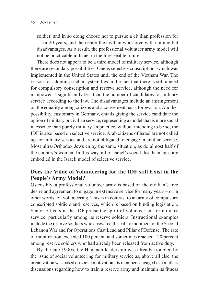soldier, and in so doing choose not to pursue a civilian profession for 15 or 20 years, and then enter the civilian workforce with nothing but disadvantages. As a result, the professional volunteer army model will not be practicable in Israel in the foreseeable future.

There does not appear to be a third model of military service, although there are secondary possibilities. One is selective conscription, which was implemented in the United States until the end of the Vietnam War. The reason for adopting such a system lies in the fact that there is still a need for compulsory conscription and reserve service, although the need for manpower is significantly less than the number of candidates for military service according to the law. The disadvantages include an infringement on the equality among citizens and a convenient basis for evasion. Another possibility, customary in Germany, entails giving the service candidate the option of military or civilian service, representing a model that is more social in essence than purely military. In practice, without intending to be so, the IDF is also based on selective service. Arab citizens of Israel are not called up for military service and are not obligated to engage in civilian service. Most ultra-Orthodox Jews enjoy the same situation, as do almost half of the country's women. In this way, all of Israel's social disadvantages are embodied in the Israeli model of selective service.

## **Does the Value of Volunteering for the IDF still Exist in the People's Army Model?**

Ostensibly, a professional volunteer army is based on the civilian's free desire and agreement to engage in extensive service for many years – or in other words, on volunteering. This is in contrast to an army of compulsory conscripted soldiers and reserves, which is based on binding legislation. Senior officers in the IDF praise the spirit of volunteerism for military service, particularly among its reserve soldiers. Instructional examples include the reserve soldiers who answered the call to mobilize for the Second Lebanon War and for Operations Cast Lead and Pillar of Defense. The rate of mobilization exceeded 100 percent and sometimes reached 120 percent among reserve soldiers who had already been released from active duty.

By the late 1930s, the Haganah leadership was already troubled by the issue of social volunteering for military service as, above all else, the organization was based on social motivation. Its members engaged in countless discussions regarding how to train a reserve army and maintain its fitness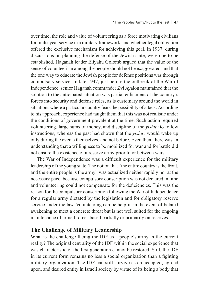over time; the role and value of volunteering as a force motivating civilians for multi-year service in a military framework; and whether legal obligation offered the exclusive mechanism for achieving this goal. In 1937, during discussions on planning the defense of the Jewish state, were one to be established, Haganah leader Eliyahu Golomb argued that the value of the sense of volunteerism among the people should not be exaggerated, and that the one way to educate the Jewish people for defense positions was through compulsory service. In late 1947, just before the outbreak of the War of Independence, senior Haganah commander Zvi Ayalon maintained that the solution to the anticipated situation was partial enlistment of the country's forces into security and defense roles, as is customary around the world in situations where a particular country fears the possibility of attack. According to his approach, experience had taught them that this was not realistic under the conditions of government prevalent at the time. Such action required volunteering, large sums of money, and discipline of the *yishuv* to follow instructions, whereas the past had shown that the *yishuv* would wake up only during the events themselves, and not before. Even then, there was an understanding that a willingness to be mobilized for war and for battle did not ensure the existence of a reserve army prior to or between wars.

The War of Independence was a difficult experience for the military leadership of the young state. The notion that "the entire country is the front, and the entire people is the army" was actualized neither rapidly nor at the necessary pace, because compulsory conscription was not declared in time and volunteering could not compensate for the deficiencies. This was the reason for the compulsory conscription following the War of Independence for a regular army dictated by the legislation and for obligatory reserve service under the law. Volunteering can be helpful in the event of belated awakening to meet a concrete threat but is not well suited for the ongoing maintenance of armed forces based partially or primarily on reserves.

## **The Challenge of Military Leadership**

What is the challenge facing the IDF as a people's army in the current reality? The original centrality of the IDF within the social experience that was characteristic of the first generation cannot be restored. Still, the IDF in its current form remains no less a social organization than a fighting military organization. The IDF can still survive as an accepted, agreed upon, and desired entity in Israeli society by virtue of its being a body that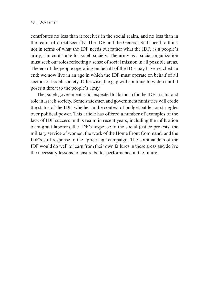contributes no less than it receives in the social realm, and no less than in the realm of direct security. The IDF and the General Staff need to think not in terms of what the IDF needs but rather what the IDF, as a people's army, can contribute to Israeli society. The army as a social organization must seek out roles reflecting a sense of social mission in all possible areas. The era of the people operating on behalf of the IDF may have reached an end; we now live in an age in which the IDF must operate on behalf of all sectors of Israeli society. Otherwise, the gap will continue to widen until it poses a threat to the people's army.

The Israeli government is not expected to do much for the IDF's status and role in Israeli society. Some statesmen and government ministries will erode the status of the IDF, whether in the context of budget battles or struggles over political power. This article has offered a number of examples of the lack of IDF success in this realm in recent years, including the infiltration of migrant laborers, the IDF's response to the social justice protests, the military service of women, the work of the Home Front Command, and the IDF's soft response to the "price tag" campaign. The commanders of the IDF would do well to learn from their own failures in these areas and derive the necessary lessons to ensure better performance in the future.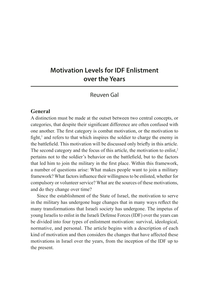# **Motivation Levels for IDF Enlistment over the Years**

### Reuven Gal

#### **General**

A distinction must be made at the outset between two central concepts, or categories, that despite their significant difference are often confused with one another. The first category is combat motivation, or the motivation to fight,<sup>1</sup> and refers to that which inspires the soldier to charge the enemy in the battlefield. This motivation will be discussed only briefly in this article. The second category and the focus of this article, the motivation to enlist,<sup>2</sup> pertains not to the soldier's behavior on the battlefield, but to the factors that led him to join the military in the first place. Within this framework, a number of questions arise: What makes people want to join a military framework? What factors influence their willingness to be enlisted, whether for compulsory or volunteer service? What are the sources of these motivations, and do they change over time?

Since the establishment of the State of Israel, the motivation to serve in the military has undergone huge changes that in many ways reflect the many transformations that Israeli society has undergone. The impetus of young Israelis to enlist in the Israeli Defense Forces (IDF) over the years can be divided into four types of enlistment motivation: survival, ideological, normative, and personal. The article begins with a description of each kind of motivation and then considers the changes that have affected these motivations in Israel over the years, from the inception of the IDF up to the present.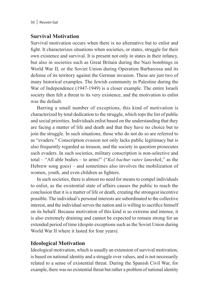## **Survival Motivation**

Survival motivation occurs when there is no alternative but to enlist and fight. It characterizes situations when societies, or states, struggle for their own existence and survival. It is present not only in states in their infancy, but also in societies such as Great Britain during the Nazi bombings in World War II, or the Soviet Union during Operation Barbarossa and its defense of its territory against the German invasion. These are just two of many historical examples. The Jewish community in Palestine during the War of Independence (1947-1949) is a closer example. The entire Israeli society then felt a threat to its very existence, and the motivation to enlist was the default.

Barring a small number of exceptions, this kind of motivation is characterized by total dedication to the struggle, which tops the list of public and social priorities. Individuals enlist based on the understanding that they are facing a matter of life and death and that they have no choice but to join the struggle. In such situations, those who do not do so are referred to as "evaders." Conscription evasion not only lacks public legitimacy but is also frequently regarded as treason, and the society in question prosecutes such evaders. In such societies, military conscription is non-selective and total – "All able bodies – to arms!" ("*Kol bachur vatov laneshek*," as the Hebrew song goes) – and sometimes also involves the mobilization of women, youth, and even children as fighters.

In such societies, there is almost no need for means to compel individuals to enlist, as the existential state of affairs causes the public to reach the conclusion that it is a matter of life or death, creating the strongest incentive possible. The individual's personal interests are subordinated to the collective interest, and the individual serves the nation and is willing to sacrifice himself on its behalf. Because motivation of this kind is so extreme and intense, it is also extremely draining and cannot be expected to remain strong for an extended period of time (despite exceptions such as the Soviet Union during World War II where it lasted for four years).

# **Ideological Motivation**

Ideological motivation, which is usually an extension of survival motivation, is based on national identity and a struggle over values, and is not necessarily related to a sense of existential threat. During the Spanish Civil War, for example, there was no existential threat but rather a problem of national identity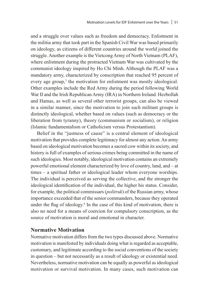and a struggle over values such as freedom and democracy. Enlistment in the militia army that took part in the Spanish Civil War was based primarily on ideology, as citizens of different countries around the world joined the struggle. Another example is the Vietcong Army of North Vietnam (PLAF), where enlistment during the protracted Vietnam War was cultivated by the communist ideology inspired by Ho Chi Minh. Although the PLAF was a mandatory army, characterized by conscription that reached 95 percent of every age group,<sup>3</sup> the motivation for enlistment was mostly ideological. Other examples include the Red Army during the period following World War II and the Irish Republican Army (IRA) in Northern Ireland. Hezbollah and Hamas, as well as several other terrorist groups, can also be viewed in a similar manner, since the motivation to join such militant groups is distinctly ideological, whether based on values (such as democracy or the liberation from tyranny), theory (communism or socialism), or religion (Islamic fundamentalism or Catholicism versus Protestantism).

Belief in the "justness of cause" is a central element of ideological motivation that provides complete legitimacy for almost any action. An army based on ideological motivation becomes a sacred cow within its society, and history is full of examples of serious crimes being committed in the name of such ideologies. Most notably, ideological motivation contains an extremely powerful emotional element characterized by love of country, land, and – at times – a spiritual father or ideological leader whom everyone worships. The individual is perceived as serving the collective, and the stronger the ideological identification of the individual, the higher his status. Consider, for example, the political commissars (*politruk*) of the Russian army, whose importance exceeded that of the senior commanders, because they operated under the flag of ideology.<sup>4</sup> In the case of this kind of motivation, there is also no need for a means of coercion for compulsory conscription, as the source of motivation is moral and emotional in character.

#### **Normative Motivation**

Normative motivation differs from the two types discussed above. Normative motivation is manifested by individuals doing what is regarded as acceptable, customary, and legitimate according to the social conventions of the society in question – but not necessarily as a result of ideology or existential need. Nevertheless, normative motivation can be equally as powerful as ideological motivation or survival motivation. In many cases, such motivation can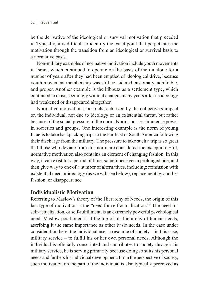be the derivative of the ideological or survival motivation that preceded it. Typically, it is difficult to identify the exact point that perpetuates the motivation through the transition from an ideological or survival basis to a normative basis.

Non-military examples of normative motivation include youth movements in Israel, which continued to operate on the basis of inertia alone for a number of years after they had been emptied of ideological drive, because youth movement membership was still considered customary, admirable, and proper. Another example is the kibbutz as a settlement type, which continued to exist, seemingly without change, many years after its ideology had weakened or disappeared altogether.

Normative motivation is also characterized by the collective's impact on the individual, not due to ideology or an existential threat, but rather because of the social pressure of the norm. Norms possess immense power in societies and groups. One interesting example is the norm of young Israelis to take backpacking trips to the Far East or South America following their discharge from the military. The pressure to take such a trip is so great that those who deviate from this norm are considered the exception. Still, normative motivation also contains an element of changing fashion. In this way, it can exist for a period of time, sometimes even a prolonged one, and then give way to one of a number of alternatives, including: reinfusion with existential need or ideology (as we will see below), replacement by another fashion, or disappearance.

### **Individualistic Motivation**

Referring to Maslow's theory of the Hierarchy of Needs, the origin of this last type of motivation is the "need for self-actualization."<sup>5</sup> The need for self-actualization, or self-fulfillment, is an extremely powerful psychological need. Maslow positioned it at the top of his hierarchy of human needs, ascribing it the same importance as other basic needs. In the case under consideration here, the individual uses a resource of society – in this case, military service – to fulfill his or her own personal needs. Although the individual is officially conscripted and contributes to society through his military service, he is serving primarily because doing so suits his personal needs and furthers his individual development. From the perspective of society, such motivation on the part of the individual is also typically perceived as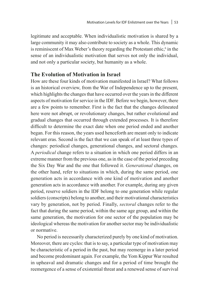legitimate and acceptable. When individualistic motivation is shared by a large community it may also contribute to society as a whole. This dynamic is reminiscent of Max Weber's theory regarding the Protestant ethic, $\delta$  in the sense of an individualistic motivation that serves not only the individual, and not only a particular society, but humanity as a whole.

#### **The Evolution of Motivation in Israel**

How are these four kinds of motivation manifested in Israel? What follows is an historical overview, from the War of Independence up to the present, which highlights the changes that have occurred over the years in the different aspects of motivation for service in the IDF. Before we begin, however, there are a few points to remember. First is the fact that the changes delineated here were not abrupt, or revolutionary changes, but rather evolutional and gradual changes that occurred through extended processes. It is therefore difficult to determine the exact date when one period ended and another began. For this reason, the years used henceforth are meant only to indicate relevant eras. Second is the fact that we can speak of at least three types of changes: periodical changes, generational changes, and sectoral changes. A *periodical* change refers to a situation in which one period differs in an extreme manner from the previous one, as in the case of the period preceding the Six Day War and the one that followed it. *Generational* changes, on the other hand, refer to situations in which, during the same period, one generation acts in accordance with one kind of motivation and another generation acts in accordance with another. For example, during any given period, reserve soldiers in the IDF belong to one generation while regular soldiers (conscripts) belong to another, and their motivational characteristics vary by generation, not by period. Finally, *sectoral* changes refer to the fact that during the same period, within the same age group, and within the same generation, the motivation for one sector of the population may be ideological whereas the motivation for another sector may be individualistic or normative.

No period is necessarily characterized purely by one kind of motivation. Moreover, there are cycles: that is to say, a particular type of motivation may be characteristic of a period in the past, but may reemerge in a later period and become predominant again. For example, the Yom Kippur War resulted in upheaval and dramatic changes and for a period of time brought the reemergence of a sense of existential threat and a renewed sense of survival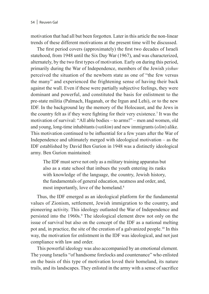motivation that had all but been forgotten. Later in this article the non-linear trends of these different motivations at the present time will be discussed.

The first period covers (approximately) the first two decades of Israeli statehood, from 1948 until the Six Day War (1967), and was characterized, alternately, by the two first types of motivation. Early on during this period, primarily during the War of Independence, members of the Jewish *yishuv* perceived the situation of the newborn state as one of "the few versus the many" and experienced the frightening sense of having their back against the wall. Even if these were partially subjective feelings, they were dominant and powerful, and constituted the basis for enlistment to the pre-state militia (Palmach, Haganah, or the Irgun and Lehi), or to the new IDF. In the background lay the memory of the Holocaust, and the Jews in the country felt as if they were fighting for their very existence.<sup>7</sup> It was the motivation of survival: "All able bodies – to arms!" – men and women, old and young, long-time inhabitants (*vatikim*) and new immigrants (*olim*) alike. This motivation continued to be influential for a few years after the War of Independence and ultimately merged with ideological motivation – as the IDF established by David Ben Gurion in 1948 was a distinctly ideological army. Ben Gurion maintained:

The IDF must serve not only as a military training apparatus but also as a state school that imbues the youth entering its ranks with knowledge of the language, the country, Jewish history, the fundamentals of general education, neatness and order, and, most importantly, love of the homeland.<sup>8</sup>

Thus, the IDF emerged as an ideological platform for the fundamental values of Zionism, settlement, Jewish immigration to the country, and pioneering activity. This ideology outlasted the War of Independence and persisted into the 1960s.<sup>9</sup> The ideological element drew not only on the issue of survival but also on the concept of the IDF as a national melting pot and, in practice, the site of the creation of a galvanized people.10 In this way, the motivation for enlistment in the IDF was ideological, and not just compliance with law and order.

This powerful ideology was also accompanied by an emotional element. The young Israelis "of handsome forelocks and countenance" who enlisted on the basis of this type of motivation loved their homeland, its nature trails, and its landscapes. They enlisted in the army with a sense of sacrifice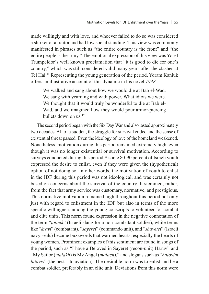made willingly and with love, and whoever failed to do so was considered a shirker or a traitor and had low social standing. This view was commonly manifested in phrases such as "the entire country is the front" and "the entire people is the army." The emotional expression of this view was Yosef Trumpeldor's well known proclamation that "it is good to die for one's country," which was still considered valid many years after the clashes at Tel Hai.11 Representing the young generation of the period, Yoram Kaniuk offers an illustrative account of this dynamic in his novel *1948*:

We walked and sang about how we would die at Bab el-Wad. We sang with yearning and with power. What idiots we were. We thought that it would truly be wonderful to die at Bab el-Wad, and we imagined how they would pour armor-piercing bullets down on us.<sup>12</sup>

The second period began with the Six Day War and also lasted approximately two decades. All of a sudden, the struggle for survival ended and the sense of existential threat passed. Even the ideology of love of the homeland weakened. Nonetheless, motivation during this period remained extremely high, even though it was no longer existential or survival motivation. According to surveys conducted during this period,<sup>13</sup> some 80-90 percent of Israeli youth expressed the desire to enlist, even if they were given the (hypothetical) option of not doing so. In other words, the motivation of youth to enlist in the IDF during this period was not ideological, and was certainly not based on concerns about the survival of the country. It stemmed, rather, from the fact that army service was customary, normative, and prestigious. This normative motivation remained high throughout this period not only just with regard to enlistment in the IDF but also in terms of the more specific willingness among the young conscripts to volunteer for combat and elite units. This norm found expression in the negative connotation of the term "*jobnik*" (Israeli slang for a non-combatant soldier), while terms like "*kravi*" (combatant), "*sayeret*" (commando unit), and "*shayetet*" (Israeli navy seals) became buzzwords that warmed hearts, especially the hearts of young women. Prominent examples of this sentiment are found in songs of the period, such as "I have a Beloved in Sayeret (recon-unit) Haruv" and "My Sailor (*malakh*) is My Angel (*malach*)," and slogans such as "*hatovim latayis*" (the best – to aviation). The desirable norm was to enlist and be a combat soldier, preferably in an elite unit. Deviations from this norm were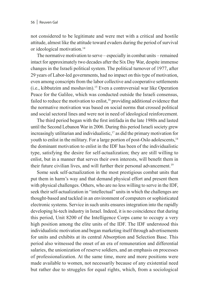not considered to be legitimate and were met with a critical and hostile attitude, almost like the attitude toward evaders during the period of survival or ideological motivation.14

The normative motivation to serve – especially in combat units – remained intact for approximately two decades after the Six Day War, despite immense changes in the Israeli political system. The political turnover of 1977, after 29 years of Labor-led governments, had no impact on this type of motivation, even among conscripts from the labor collective and cooperative settlements (i.e., kibbutzim and moshavim).15 Even a controversial war like Operation Peace for the Galilee, which was conducted outside the Israeli consensus, failed to reduce the motivation to enlist,<sup>16</sup> providing additional evidence that the normative motivation was based on social norms that crossed political and social sectoral lines and were not in need of ideological reinforcement.

The third period began with the first intifada in the late 1980s and lasted until the Second Lebanon War in 2006. During this period Israeli society grew increasingly utilitarian and individualistic,<sup>17</sup> as did the primary motivation for youth to enlist in the military. For a large portion of post-Oslo adolescents,<sup>18</sup> the dominant motivation to enlist in the IDF has been of the individualistic type, satisfying the desire for self-actualization; they are still willing to enlist, but in a manner that serves their own interests, will benefit them in their future civilian lives, and will further their personal advancement.<sup>19</sup>

Some seek self-actualization in the most prestigious combat units that put them in harm's way and that demand physical effort and present them with physical challenges. Others, who are no less willing to serve in the IDF, seek their self-actualization in "intellectual" units in which the challenges are thought-based and tackled in an environment of computers or sophisticated electronic systems. Service in such units ensures integration into the rapidly developing hi-tech industry in Israel. Indeed, it is no coincidence that during this period, Unit 8200 of the Intelligence Corps came to occupy a very high position among the elite units of the IDF. The IDF understood this individualistic motivation and began marketing itself through advertisements for units and exhibits at its central Absorption and Selection Base. This period also witnessed the onset of an era of remuneration and differential salaries, the unionization of reserve soldiers, and an emphasis on processes of professionalization. At the same time, more and more positions were made available to women, not necessarily because of any existential need but rather due to struggles for equal rights, which, from a sociological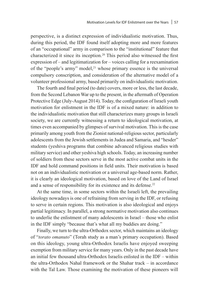perspective, is a distinct expression of individualistic motivation. Thus, during this period, the IDF found itself adopting more and more features of an "occupational" army in comparison to the "institutional" feature that characterized it since its inception.20 This period also witnessed the first expression of – and legitimatization for – voices calling for a reexamination of the "people's army" model, $2<sup>1</sup>$  whose primary essence is the universal compulsory conscription, and consideration of the alternative model of a volunteer professional army, based primarily on individualistic motivation.

The fourth and final period (to date) covers, more or less, the last decade, from the Second Lebanon War up to the present, in the aftermath of Operation Protective Edge (July-August 2014). Today, the configuration of Israeli youth motivation for enlistment in the IDF is of a mixed nature: in addition to the individualistic motivation that still characterizes many groups in Israeli society, we are currently witnessing a return to ideological motivation, at times even accompanied by glimpses of survival motivation. This is the case primarily among youth from the Zionist national-religious sector, particularly adolescents from the Jewish settlements in Judea and Samaria, and "hesder" students (yeshiva programs that combine advanced religious studies with military service) and other yeshiva high schools. Today, an increasing number of soldiers from these sectors serve in the most active combat units in the IDF and hold command positions in field units. Their motivation is based not on an individualistic motivation or a universal age-based norm. Rather, it is clearly an ideological motivation, based on love of the Land of Israel and a sense of responsibility for its existence and its defense.<sup>22</sup>

At the same time, in some sectors within the Israeli left, the prevailing ideology nowadays is one of refraining from serving in the IDF, or refusing to serve in certain regions. This motivation is also ideological and enjoys partial legitimacy. In parallel, a strong normative motivation also continues to underlie the enlistment of many adolescents in Israel – those who enlist in the IDF simply "because that's what all my buddies are doing."

Finally, we turn to the ultra-Orthodox sector, which maintains an ideology of "*torato omanuto*" (Torah study as a man's primary occupation). Based on this ideology, young ultra-Orthodox Israelis have enjoyed sweeping exemption from military service for many years. Only in the past decade have an initial few thousand ultra-Orthodox Israelis enlisted in the IDF – within the ultra-Orthodox Nahal framework or the Shahar track – in accordance with the Tal Law. Those examining the motivation of these pioneers will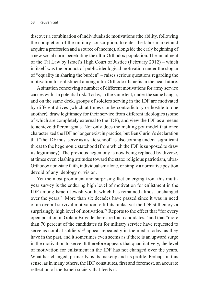discover a combination of individualistic motivations (the ability, following the completion of the military conscription, to enter the labor market and acquire a profession and a source of income), alongside the early beginning of a new social norm penetrating the ultra-Orthodox population. The annulment of the Tal Law by Israel's High Court of Justice (February 2012) – which in itself was the product of public ideological motivation under the slogan of "equality in sharing the burden" – raises serious questions regarding the motivation for enlistment among ultra-Orthodox Israelis in the near future.

A situation conceiving a number of different motivations for army service carries with it a potential risk. Today, in the same tent, under the same hangar, and on the same deck, groups of soldiers serving in the IDF are motivated by different drives (which at times can be contradictory or hostile to one another), draw legitimacy for their service from different ideologies (some of which are completely external to the IDF), and view the IDF as a means to achieve different goals. Not only does the melting pot model that once characterized the IDF no longer exist in practice, but Ben Gurion's declaration that "the IDF must serve as a state school" is also coming under a significant threat to the hegemonic statehood (from which the IDF is supposed to draw its legitimacy). The previous hegemony is now being replaced by diverse, at times even clashing attitudes toward the state: religious patriotism, ultra-Orthodox non-state faith, individualism alone, or simply a normative position devoid of any ideology or vision.

Yet the most prominent and surprising fact emerging from this multiyear survey is the enduring high level of motivation for enlistment in the IDF among Israeli Jewish youth, which has remained almost unchanged over the years.23 More than six decades have passed since it was in need of an overall survival motivation to fill its ranks, yet the IDF still enjoys a surprisingly high level of motivation.<sup>24</sup> Reports to the effect that "for every open position in Golani Brigade there are four candidates," and that "more than 70 percent of the candidates fit for military service have requested to serve as combat soldiers<sup>"25</sup> appear repeatedly in the media today, as they have in the past, and it sometimes even seems as if there is an upward surge in the motivation to serve. It therefore appears that quantitatively, the level of motivation for enlistment in the IDF has not changed over the years. What has changed, primarily, is its makeup and its profile. Perhaps in this sense, as in many others, the IDF constitutes, first and foremost, an accurate reflection of the Israeli society that feeds it.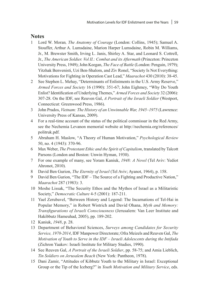#### **Notes**

- 1 Lord W. Moran*, The Anatomy of Courage* (London: Collins, 1945); Samuel A. Stouffer, Arthur A. Lumsdaine, Marion Harper Lumsdaine, Robin M. Williams, Jr., M. Brewster Smith, Irving L. Janis, Shirley A. Star, and Leonard S. Cottrell, Jr., *The American Soldier. Vol II.: Combat and its Aftermath* (Princeton: Princeton University Press, 1949); John Keegan, *The Face of Battle* (London: Penguin, 1979); Yitzhak Benvenisti, Uzi Ben-Shalom, and Ziv Ronel, "Society Is Not Everything: Motivations for Fighting in Operation Cast Lead," *Maarachot* 430 (2010): 38-45.
- 2 See Stephen L. Mehay, "Determinants of Enlistments in the U.S. Army Reserve," *Armed Forces and Society* 16 (1990): 351-67; John Eighmey, "Why Do Youth Enlist? Identification of Underlying Themes," *Armed Forces and Society* 32 (2006): 307-28. On the IDF, see Reuven Gal, *A Portrait of the Israeli Soldier* (Westport, Connecticut: Greenwood Press, 1986).
- 3 John Prados, *Vietnam: The History of an Unwinnable War, 1945–1975* (Lawrence: University Press of Kansas, 2009).
- 4 For a real-time account of the status of the political commissar in the Red Army, see the Nechemia Levanon memorial website at http://nechemia.org/references/ politruk.pdf.
- 5 Abraham H. Maslow, "A Theory of Human Motivation," *Psychological Review* 50, no. 4 (1943): 370-96.
- 6 Max Weber, *The Protestant Ethic and the Spirit of Capitalism*, translated by Talcott Parsons (London and Boston: Unwin Hyman, 1930).
- 7 For one example of many, see Yoram Kaniuk, *1948: A Novel* (Tel Aviv: Yediot Ahronot, 2010).
- 8 David Ben Gurion, *The Eternity of Israel* (Tel Aviv; Ayanot, 1964), p. 158.
- 9 David Ben Gurion, "The IDF The Source of a Fighting and Productive Nation," *Maarachot* 287 (1983): 3.
- 10 Moshe Lissak, "The Security Ethos and the Mythos of Israel as a Militaristic Society," *Democratic Culture* 4-5 (2001): 187-211.
- 11 Yael Zerubavel, "Between History and Legend: The Incarnations of Tel-Hai in Popular Memory," in Robert Wistrich and David Ohana, *Myth and Memory: Transfigurations of Israeli Consciousness* (Jerusalem: Van Leer Institute and Hakibbutz Hameuhad, 2005), pp. 189-202.
- 12 Kaniuk, *1948*, p. 28.
- 13 Department of Behavioral Sciences, *Surveys among Candidates for Security Service, 1970-2014*, IDF Manpower Directorate; Ofra Meizels and Reuven Gal, *The Motivation of Youth to Serve in the IDF – Israeli Adolescents during the Intifada* (Zichron Yaakov: Israeli Institute for Military Studies, 1990).
- 14 See Reuven Gal, *A Portrait of the Israeli Soldier*, pp. 58-75; and Amia Lieblich, *Tin Soldiers on Jerusalem Beach* (New York: Pantheon, 1978).
- 15 Dani Zamir, "Attitudes of Kibbutz Youth to the Military in Israel: Exceptional Group or the Tip of the Iceberg?" in *Youth Motivation and Military Service*, eds.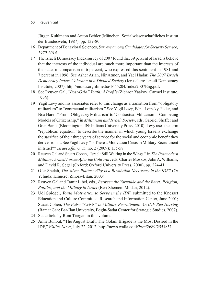Jürgen Kuhlmann and Anton Bebler (München: Sozialwissenschaftliches Institut der Bundeswehr, 1987), pp. 139-80.

- 16 Department of Behavioral Sciences, *Surveys among Candidates for Security Service, 1970-2014*.
- 17 The Israeli Democracy Index survey of 2007 found that 39 percent of Israelis believe that the interests of the individual are much more important than the interests of the state, in comparison to 6 percent, who expressed this sentiment in 1981 and 7 percent in 1996. See Asher Arian, Nir Atmor, and Yael Hadar, *The 2007 Israeli Democracy Index: Cohesion in a Divided Society* (Jerusalem: Israeli Democracy Institute, 2007), http://en.idi.org.il/media/1665204/Index2007Eng.pdf.
- 18 See Reuven Gal, *"Post-Oslo" Youth: A Profile* (Zichron Yaakov: Carmel Institute, 1996).
- 19 Yagil Levy and his associates refer to this change as a transition from "obligatory militarism" to "contractual militarism." See Yagil Levy, Edna Lomsky-Feder, and Noa Harel, "From 'Obligatory Militarism' to 'Contractual Militarism' – Competing Models of Citizenship," in *Militarism and Israeli Society*, eds. Gabriel Sheffer and Oren Barak (Bloomington, IN: Indiana University Press, 2010). Levy uses the term "republican equation" to describe the manner in which young Israelis exchange the sacrifice of their three years of service for the social and economic benefit they derive from it. See Yagil Levy, "Is There a Motivation Crisis in Military Recruitment in Israel?" *Israel Affairs* 15, no. 2 (2009): 135-58.
- 20 Reuven Gal and Stuart Cohen, "Israel: Still Waiting in the Wings," in *The Postmodern Military: Armed Forces After the Cold War*, eds. Charles Moskos, John A. Williams, and David R. Segal (Oxford: Oxford University Press, 2000), pp. 224-41.
- 21 Ofer Shelah, *The Silver Platter: Why Is a Revolution Necessary in the IDF?* (Or Yehuda: Kinneret Zmora-Bitan, 2003).
- 22 Reuven Gal and Tamir Libel, eds., *Between the Yarmulke and the Beret: Religion, Politics, and the Military in Israel* (Ben-Shemen: Modan, 2012).
- 23 Udi Spiegel, *Youth Motivation to Serve in the IDF*, submitted to the Knesset Education and Culture Committee, Research and Information Center, June 2001; Stuart Cohen, *The False "Crisis" in Military Recruitment: An IDF Red Herring*  (Ramat Gan: Bar-Ilan University, Begin-Sadat Center for Strategic Studies, 2007).
- 24 See article by Roni Tiargan in this volume.
- 25 Amir Buhbut, "The August Draft: The Golani Brigade is the Most Desired in the IDF," *Walla! News*, July 22, 2012, http://news.walla.co.il/?w=/2689/2551851.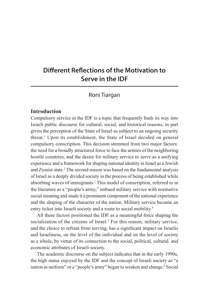# **Different Reflections of the Motivation to Serve in the IDF**

# Roni Tiargan

### **Introduction**

Compulsory service in the IDF is a topic that frequently finds its way into Israeli public discourse for cultural, social, and historical reasons, in part given the perception of the State of Israel as subject to an ongoing security threat.1 Upon its establishment, the State of Israel decided on general compulsory conscription. This decision stemmed from two major factors: the need for a broadly structured force to face the armies of the neighboring hostile countries, and the desire for military service to serve as a unifying experience and a framework for shaping national identity in Israel as a Jewish and Zionist state.<sup>2</sup> The second reason was based on the fundamental analysis of Israel as a deeply divided society in the process of being established while absorbing waves of immigrants.<sup>3</sup> This model of conscription, referred to in the literature as a "people's army," imbued military service with normative social meaning and made it a prominent component of the national experience and the shaping of the character of the nation. Military service became an entry ticket into Israeli society and a route to social mobility.<sup>4</sup>

All these factors positioned the IDF as a meaningful force shaping the socialization of the citizens of Israel.<sup>5</sup> For this reason, military service, and the choice to refrain from serving, has a significant impact on Israelis and Israeliness, on the level of the individual and on the level of society as a whole, by virtue of its connection to the social, political, cultural, and economic attributes of Israeli society.

The academic discourse on the subject indicates that in the early 1990s, the high status enjoyed by the IDF and the concept of Israeli society as "a nation in uniform" or a "people's army" began to weaken and change.<sup>6</sup> Social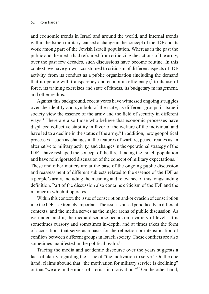and economic trends in Israel and around the world, and internal trends within the Israeli military, caused a change in the concept of the IDF and its work among part of the Jewish Israeli population. Whereas in the past the public and the media had refrained from criticizing the actions of the army, over the past few decades, such discussions have become routine. In this context, we have grown accustomed to criticism of different aspects of IDF activity, from its conduct as a public organization (including the demand that it operate with transparency and economic efficiency),<sup> $\tau$ </sup> to its use of force, its training exercises and state of fitness, its budgetary management, and other realms.

Against this background, recent years have witnessed ongoing struggles over the identity and symbols of the state, as different groups in Israeli society view the essence of the army and the field of security in different ways.8 There are also those who believe that economic processes have displaced collective stability in favor of the welfare of the individual and have led to a decline in the status of the army.<sup>9</sup> In addition, new geopolitical processes – such as changes in the features of warfare, peace treaties as an alternative to military activity, and changes in the operational strategy of the IDF – have reshaped the concept of the threat facing the Israeli population and have reinvigorated discussion of the concept of military expectations.<sup>10</sup> These and other matters are at the base of the ongoing public discussion and reassessment of different subjects related to the essence of the IDF as a people's army, including the meaning and relevance of this longstanding definition. Part of the discussion also contains criticism of the IDF and the manner in which it operates.

Within this context, the issue of conscription and/or evasion of conscription into the IDF is extremely important. The issue is raised periodically in different contexts, and the media serves as the major arena of public discussion. As we understand it, the media discourse occurs on a variety of levels. It is sometimes cursory and sometimes in-depth, and at times takes the form of accusations that serve as a basis for the reflection or intensification of conflicts between different groups in Israeli society. These conflicts are also sometimes manifested in the political realm.<sup>11</sup>

Tracing the media and academic discourse over the years suggests a lack of clarity regarding the issue of "the motivation to serve." On the one hand, claims abound that "the motivation for military service is declining" or that "we are in the midst of a crisis in motivation."12 On the other hand,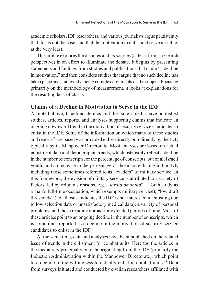academic scholars, IDF researchers, and various journalists argue persistently that this is not the case, and that the motivation to enlist and serve is stable, at the very least.

This article explores the disputes and its sources (at least from a research perspective) in an effort to illuminate the debate. It begins by presenting statements and findings from studies and publications that claim "a decline in motivation," and then considers studies that argue that no such decline has taken place and studies advancing complex arguments on the subject. Focusing primarily on the methodology of measurement, it looks at explanations for the resulting lack of clarity.

#### **Claims of a Decline in Motivation to Serve in the IDF**

As noted above, Israeli academics and the Israeli media have published studies, articles, reports, and analyses supporting claims that indicate an ongoing downward trend in the motivation of security service candidates to enlist in the IDF. Some of the information on which many of these studies and reports<sup>13</sup> are based was provided either directly or indirectly by the IDF, typically by its Manpower Directorate. Most analyses are based on actual enlistment data and demographic trends, which ostensibly reflect a decline in the number of conscripts, or the percentage of conscripts, out of all Israeli youth, and an increase in the percentage of those not enlisting in the IDF, including those sometimes referred to as "evaders" of military service. In this framework, the evasion of military service is attributed to a variety of factors, led by religious reasons, e.g., "*torato omanuto*" – Torah study as a man's full-time occupation, which exempts military service); "low draft thresholds" (i.e., those candidates the IDF is not interested in enlisting due to low selection data or unsatisfactory medical data); a variety of personal problems; and those residing abroad for extended periods of time. Most of these articles point to an ongoing decline in the number of conscripts, which is sometimes reported as a decline in the motivation of security service candidates to enlist in the IDF.

At the same time, data and analyses have been published on the related issue of trends in the enlistment for combat units. Here too the articles in the media rely principally on data originating from the IDF (primarily the Induction Administration within the Manpower Directorate), which point to a decline in the willingness to actually enlist in combat units.14 Data from surveys initiated and conducted by civilian researchers affiliated with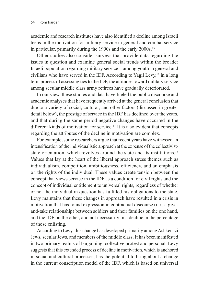academic and research institutes have also identified a decline among Israeli teens in the motivation for military service in general and combat service in particular, primarily during the 1990s and the early 2000s.15

Other studies also consider surveys that provide data regarding the issues in question and examine general social trends within the broader Israeli population regarding military service – among youth in general and civilians who have served in the IDF. According to Yagil Levy,16 in a long term process of assessing ties to the IDF, the attitudes toward military service among secular middle class army retirees have gradually deteriorated.

In our view, these studies and data have fueled the public discourse and academic analyses that have frequently arrived at the general conclusion that due to a variety of social, cultural, and other factors (discussed in greater detail below), the prestige of service in the IDF has declined over the years, and that during the same period negative changes have occurred in the different kinds of motivation for service.<sup>17</sup> It is also evident that concepts regarding the attributes of the decline in motivation are complex.

For example, some researchers argue that recent years have witnessed an intensification of the individualistic approach at the expense of the collectiviststate orientation, which revolves around the state and its institutions.<sup>18</sup> Values that lay at the heart of the liberal approach stress themes such as individualism, competition, ambitiousness, efficiency, and an emphasis on the rights of the individual. These values create tension between the concept that views service in the IDF as a condition for civil rights and the concept of individual entitlement to universal rights, regardless of whether or not the individual in question has fulfilled his obligations to the state. Levy maintains that these changes in approach have resulted in a crisis in motivation that has found expression in contractual discourse (i.e., a giveand-take relationship) between soldiers and their families on the one hand, and the IDF on the other, and not necessarily in a decline in the percentage of those enlisting.

According to Levy, this change has developed primarily among Ashkenazi Jews, secular Jews, and members of the middle class. It has been manifested in two primary realms of bargaining: collective protest and personal. Levy suggests that this extended process of decline in motivation, which is anchored in social and cultural processes, has the potential to bring about a change in the current conscription model of the IDF, which is based on universal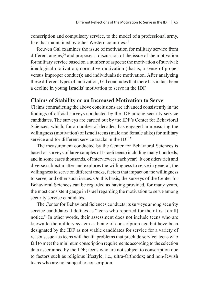conscription and compulsory service, to the model of a professional army, like that maintained by other Western countries.<sup>19</sup>

Reuven Gal examines the issue of motivation for military service from different angles,<sup>20</sup> and proposes a discussion of the issue of the motivation for military service based on a number of aspects: the motivation of survival; ideological motivation; normative motivation (that is, a sense of proper versus improper conduct); and individualistic motivation. After analyzing these different types of motivation, Gal concludes that there has in fact been a decline in young Israelis' motivation to serve in the IDF.

#### **Claims of Stability or an Increased Motivation to Serve**

Claims contradicting the above conclusions are advanced consistently in the findings of official surveys conducted by the IDF among security service candidates. The surveys are carried out by the IDF's Center for Behavioral Sciences, which, for a number of decades, has engaged in measuring the willingness (motivation) of Israeli teens (male and female alike) for military service and for different service tracks in the IDF.<sup>21</sup>

The measurement conducted by the Center for Behavioral Sciences is based on surveys of large samples of Israeli teens (including many hundreds, and in some cases thousands, of interviewees each year). It considers rich and diverse subject matter and explores the willingness to serve in general, the willingness to serve on different tracks, factors that impact on the willingness to serve, and other such issues. On this basis, the surveys of the Center for Behavioral Sciences can be regarded as having provided, for many years, the most consistent gauge in Israel regarding the motivation to serve among security service candidates.

The Center for Behavioral Sciences conducts its surveys among security service candidates it defines as "teens who reported for their first [draft] notice." In other words, their assessment does not include teens who are known to the military system as being of conscription age but have been designated by the IDF as not viable candidates for service for a variety of reasons, such as teens with health problems that preclude service; teens who fail to meet the minimum conscription requirements according to the selection data ascertained by the IDF; teens who are not subject to conscription due to factors such as religious lifestyle, i.e., ultra-Orthodox; and non-Jewish teens who are not subject to conscription.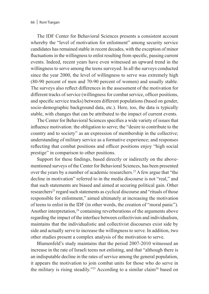The IDF Center for Behavioral Sciences presents a consistent account whereby the "level of motivation for enlistment" among security service candidates has remained stable in recent decades, with the exception of minor fluctuations in the willingness to enlist resulting from specific, passing current events. Indeed, recent years have even witnessed an upward trend in the willingness to serve among the teens surveyed. In all the surveys conducted since the year 2000, the level of willingness to serve was extremely high (80-90 percent of men and 70-90 percent of women) and usually stable. The surveys also reflect differences in the assessment of the motivation for different tracks of service (willingness for combat service, officer positions, and specific service tracks) between different populations (based on gender, socio-demographic background data, etc.). Here, too, the data is typically stable, with changes that can be attributed to the impact of current events.

The Center for Behavioral Sciences specifies a wide variety of issues that influence motivation: the obligation to serve; the "desire to contribute to the country and to society" as an expression of membership in the collective; understanding of military service as a formative experience; and responses reflecting that combat positions and officer positions enjoy "high social prestige" in comparison to other positions.

Support for these findings, based directly or indirectly on the abovementioned surveys of the Center for Behavioral Sciences, has been presented over the years by a number of academic researchers.<sup>22</sup> A few argue that "the decline in motivation" referred to in the media discourse is not "real," and that such statements are biased and aimed at securing political gain. Other researchers<sup>23</sup> regard such statements as cyclical discourse and "rituals of those responsible for enlistment," aimed ultimately at increasing the motivation of teens to enlist in the IDF (in other words, the creation of "moral panic"). Another interpretation, $24$  containing reverberations of the arguments above regarding the impact of the interface between collectivism and individualism, maintains that the individualistic and collectivist discourses exist side by side and actually serve to increase the willingness to serve. In addition, two other studies present a complex analysis of the motivation to serve.

Blumenfeld's study maintains that the period 2007-2010 witnessed an increase in the rate of Israeli teens not enlisting, and that "although there is an indisputable decline in the rates of service among the general population, it appears the motivation to join combat units for those who do serve in the military is rising steadily."<sup>25</sup> According to a similar claim<sup>26</sup> based on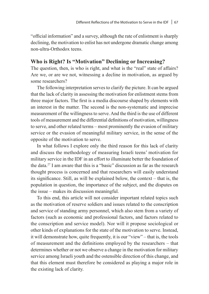"official information" and a survey, although the rate of enlistment is sharply declining, the motivation to enlist has not undergone dramatic change among non-ultra-Orthodox teens.

## **Who is Right? Is "Motivation" Declining or Increasing?**

The question, then, is who is right, and what is the "real" state of affairs? Are we, or are we not, witnessing a decline in motivation, as argued by some researchers?

The following interpretation serves to clarify the picture. It can be argued that the lack of clarity in assessing the motivation for enlistment stems from three major factors. The first is a media discourse shaped by elements with an interest in the matter. The second is the non-systematic and imprecise measurement of the willingness to serve. And the third is the use of different tools of measurement and the differential definitions of motivation, willingness to serve, and other related terms – most prominently the evasion of military service or the evasion of meaningful military service, in the sense of the opposite of the motivation to serve.

In what follows I explore only the third reason for this lack of clarity and discuss the methodology of measuring Israeli teens' motivation for military service in the IDF in an effort to illuminate better the foundation of the data.27 I am aware that this is a "basic" discussion as far as the research thought process is concerned and that researchers will easily understand its significance. Still, as will be explained below, the context – that is, the population in question, the importance of the subject, and the disputes on the issue – makes its discussion meaningful.

To this end, this article will not consider important related topics such as the motivation of reserve soldiers and issues related to the conscription and service of standing army personnel, which also stem from a variety of factors (such as economic and professional factors, and factors related to the conscription and service model). Nor will it propose sociological or other kinds of explanations for the state of the motivation to serve. Instead, it will demonstrate how, quite frequently, it is our "view" – that is, the tools of measurement and the definitions employed by the researchers – that determines whether or not we observe a change in the motivation for military service among Israeli youth and the ostensible direction of this change, and that this element must therefore be considered as playing a major role in the existing lack of clarity.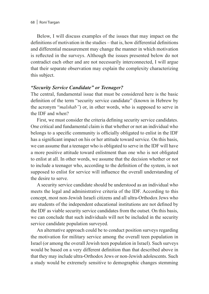Below, I will discuss examples of the issues that may impact on the definitions of motivation in the studies – that is, how differential definitions and differential measurement may change the manner in which motivation is reflected in the surveys. Although the issues presented below do not contradict each other and are not necessarily interconnected, I will argue that their separate observation may explain the complexity characterizing this subject.

#### *"Security Service Candidate" or Teenager?*

The central, fundamental issue that must be considered here is the basic definition of the term "security service candidate" (known in Hebrew by the acronym "*malshab"*) or, in other words, who is supposed to serve in the IDF and when?

First, we must consider the criteria defining security service candidates. One critical and fundamental claim is that whether or not an individual who belongs to a specific community is officially obligated to enlist in the IDF has a significant impact on his or her attitude toward service. On this basis, we can assume that a teenager who is obligated to serve in the IDF will have a more positive attitude toward enlistment than one who is not obligated to enlist at all. In other words, we assume that the decision whether or not to include a teenager who, according to the definition of the system, is not supposed to enlist for service will influence the overall understanding of the desire to serve.

A security service candidate should be understood as an individual who meets the legal and administrative criteria of the IDF. According to this concept, most non-Jewish Israeli citizens and all ultra-Orthodox Jews who are students of the independent educational institutions are not defined by the IDF as viable security service candidates from the outset. On this basis, we can conclude that such individuals will not be included in the security service candidate population surveyed.

An alternative approach could be to conduct position surveys regarding the motivation for military service among the overall teen population in Israel (or among the overall Jewish teen population in Israel). Such surveys would be based on a very different definition than that described above in that they may include ultra-Orthodox Jews or non-Jewish adolescents. Such a study would be extremely sensitive to demographic changes stemming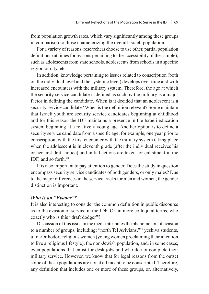from population growth rates, which vary significantly among these groups in comparison to those characterizing the overall Israeli population.

For a variety of reasons, researchers choose to use other, partial population definitions (at times for reasons pertaining to the accessibility of the sample), such as adolescents from state schools, adolescents from schools in a specific region or city, etc.

In addition, knowledge pertaining to issues related to conscription (both on the individual level and the systemic level) develops over time and with increased encounters with the military system. Therefore, the age at which the security service candidate is defined as such by the military is a major factor in defining the candidate. When is it decided that an adolescent is a security service candidate? When is the definition relevant? Some maintain that Israeli youth are security service candidates beginning at childhood and for this reason the IDF maintains a presence in the Israeli education system beginning at a relatively young age. Another option is to define a security service candidate from a specific age; for example, one year prior to conscription, with the first encounter with the military system taking place when the adolescent is in eleventh grade (after the individual receives his or her first draft notice) and initial actions are taken for enlistment in the IDF, and so forth.28

It is also important to pay attention to gender. Does the study in question encompass security service candidates of both genders, or only males? Due to the major differences in the service tracks for men and women, the gender distinction is important.

#### *Who is an "Evader"?*

It is also interesting to consider the common definition in public discourse as to the evasion of service in the IDF. Or, in more colloquial terms, who exactly who is this "draft dodger"?

Discussion of this issue in the media attributes the phenomenon of evasion to a number of groups, including: "north Tel Avivians,"29 yeshiva students, ultra-Orthodox, religious women (young women proclaiming their intention to live a religious lifestyle), the non-Jewish population, and, in some cases, even populations that enlist for desk jobs and who do not complete their military service. However, we know that for legal reasons from the outset some of these populations are not at all meant to be conscripted. Therefore, any definition that includes one or more of these groups, or, alternatively,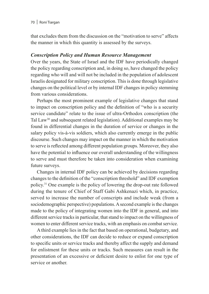that excludes them from the discussion on the "motivation to serve" affects the manner in which this quantity is assessed by the surveys.

#### *Conscription Policy and Human Resource Management*

Over the years, the State of Israel and the IDF have periodically changed the policy regarding conscription and, in doing so, have changed the policy regarding who will and will not be included in the population of adolescent Israelis designated for military conscription. This is done through legislative changes on the political level or by internal IDF changes in policy stemming from various considerations.

Perhaps the most prominent example of legislative changes that stand to impact on conscription policy and the definition of "who is a security service candidate" relate to the issue of ultra-Orthodox conscription (the Tal Law<sup>30</sup> and subsequent related legislation). Additional examples may be found in differential changes in the duration of service or changes in the salary policy vis-à-vis soldiers, which also currently emerge in the public discourse. Such changes may impact on the manner in which the motivation to serve is reflected among different population groups. Moreover, they also have the potential to influence our overall understanding of the willingness to serve and must therefore be taken into consideration when examining future surveys.

Changes in internal IDF policy can be achieved by decisions regarding changes to the definition of the "conscription threshold" and IDF exemption policy.31 One example is the policy of lowering the drop-out rate followed during the tenure of Chief of Staff Gabi Ashkenazi which, in practice, served to increase the number of conscripts and include weak (from a sociodemographic perspective) populations. A second example is the changes made to the policy of integrating women into the IDF in general, and into different service tracks in particular, that stand to impact on the willingness of women to enter different service tracks, with an emphasis on combat service.

A third example lies in the fact that based on operational, budgetary, and other considerations, the IDF can decide to reduce or expand conscription to specific units or service tracks and thereby affect the supply and demand for enlistment for these units or tracks. Such measures can result in the presentation of an excessive or deficient desire to enlist for one type of service or another.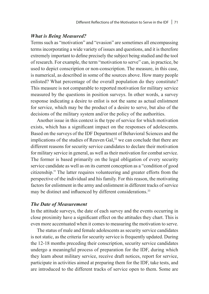#### *What is Being Measured?*

Terms such as "motivation" and "evasion" are sometimes all encompassing terms incorporating a wide variety of issues and questions, and it is therefore extremely important to define precisely the subject being studied and the tool of research. For example, the term "motivation to serve" can, in practice, be used to depict conscription or non-conscription. The measure, in this case, is numerical, as described in some of the sources above. How many people enlisted? What percentage of the overall population do they constitute? This measure is not comparable to reported motivation for military service measured by the questions in position surveys. In other words, a survey response indicating a desire to enlist is not the same as actual enlistment for service, which may be the product of a desire to serve, but also of the decisions of the military system and/or the policy of the authorities.

Another issue in this context is the type of service for which motivation exists, which has a significant impact on the responses of adolescents. Based on the surveys of the IDF Department of Behavioral Sciences and the implications of the studies of Reuven Gal,  $32$  we can conclude that there are different reasons for security service candidates to declare their motivation for military service in general, as well as their motivation for combat service. The former is based primarily on the legal obligation of every security service candidate as well as on its current conception as a "condition of good citizenship." The latter requires volunteering and greater efforts from the perspective of the individual and his family. For this reason, the motivating factors for enlistment in the army and enlistment in different tracks of service may be distinct and influenced by different considerations.<sup>33</sup>

#### *The Date of Measurement*

In the attitude surveys, the date of each survey and the events occurring in close proximity have a significant effect on the attitudes they chart. This is even more accentuated when it comes to measuring the motivation to serve.

The status of male and female adolescents as security service candidates is not static, as the criteria for security service is frequently updated. During the 12-18 months preceding their conscription, security service candidates undergo a meaningful process of preparation for the IDF, during which they learn about military service, receive draft notices, report for service, participate in activities aimed at preparing them for the IDF, take tests, and are introduced to the different tracks of service open to them. Some are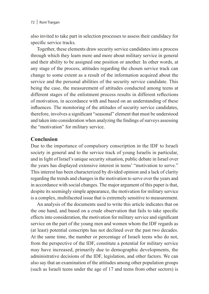also invited to take part in selection processes to assess their candidacy for specific service tracks.

Together, these elements draw security service candidates into a process through which they learn more and more about military service in general and their ability to be assigned one position or another. In other words, at any stage of the process, attitudes regarding the chosen service track can change to some extent as a result of the information acquired about the service and the personal abilities of the security service candidate. This being the case, the measurement of attitudes conducted among teens at different stages of the enlistment process results in different reflections of motivation, in accordance with and based on an understanding of these influences. The monitoring of the attitudes of security service candidates, therefore, involves a significant "seasonal" element that must be understood and taken into consideration when analyzing the findings of surveys assessing the "motivation" for military service.

## **Conclusion**

Due to the importance of compulsory conscription in the IDF to Israeli society in general and to the service track of young Israelis in particular, and in light of Israel's unique security situation, public debate in Israel over the years has displayed extensive interest in teens' "motivation to serve." This interest has been characterized by divided opinion and a lack of clarity regarding the trends and changes in the motivation to serve over the years and in accordance with social changes. The major argument of this paper is that, despite its seemingly simple appearance, the motivation for military service is a complex, multifaceted issue that is extremely sensitive to measurement.

An analysis of the documents used to write this article indicates that on the one hand, and based on a crude observation that fails to take specific effects into consideration, the motivation for military service and significant service on the part of the young men and women whom the IDF regards as (at least) potential conscripts has not declined over the past two decades. At the same time, the number or percentage of Israeli teens who do not, from the perspective of the IDF, constitute a potential for military service may have increased, primarily due to demographic developments, the administrative decisions of the IDF, legislation, and other factors. We can also say that an examination of the attitudes among other population groups (such as Israeli teens under the age of 17 and teens from other sectors) is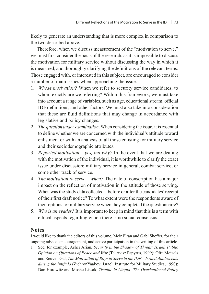likely to generate an understanding that is more complex in comparison to the two described above.

Therefore, when we discuss measurement of the "motivation to serve," we must first consider the basis of the research, as it is impossible to discuss the motivation for military service without discussing the way in which it is measured, and thoroughly clarifying the definitions of the relevant terms. Those engaged with, or interested in this subject, are encouraged to consider a number of main issues when approaching the issue:

- 1. *Whose motivation?* When we refer to security service candidates, to whom exactly are we referring? Within this framework, we must take into account a range of variables, such as age, educational stream, official IDF definitions, and other factors. We must also take into consideration that these are fluid definitions that may change in accordance with legislative and policy changes.
- 2. *The question under examination*. When considering the issue, it is essential to define whether we are concerned with the individual's attitude toward enlistment or with an analysis of all those enlisting for military service and their sociodemographic attributes.
- 3. *Reported motivation yes, but why?* In the event that we are dealing with the motivation of the individual, it is worthwhile to clarify the exact issue under discussion: military service in general, combat service, or some other track of service.
- 4. *The motivation to serve when?* The date of conscription has a major impact on the reflection of motivation in the attitude of those serving. When was the study data collected – before or after the candidates' receipt of their first draft notice? To what extent were the respondents aware of their options for military service when they completed the questionnaire?
- 5. *Who is an evader?* It is important to keep in mind that this is a term with ethical aspects regarding which there is no social consensus.

## **Notes**

I would like to thank the editors of this volume, Meir Elran and Gabi Sheffer, for their ongoing advice, encouragement, and active participation in the writing of this article.

1 See, for example, Asher Arian, *Security in the Shadow of Threat: Israeli Public Opinion on Questions of Peace and War* (Tel Aviv: Papyrus, 1999); Ofra Meizels and Reuven Gal, *The Motivation of Boys to Serve in the IDF – Israeli Adolescents during the Intifada* (ZichronYaakov: Israeli Institute for Military Studies, 1990); Dan Horowitz and Moshe Lissak, *Trouble in Utopia: The Overburdened Policy*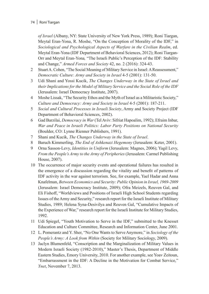#### 74 | Roni Tiargan

*of Israel* (Albany, NY: State University of New York Press, 1989); Roni Tiargan, Meytal Eran-Yona, R. Moshe, "On the Conception of Morality of the IDF," in *Sociological and Psychological Aspects of Warfare in the Civilian Realm*, ed. Meytal Eran-Yona (IDF Department of Behavioral Sciences, 2012); Roni Tiargan-Orr and Meytal Eran-Yona*,* "The Israeli Public's Perception of the IDF: Stability and Change," *Armed Forces and Society* 42, no. 2 (2016): 324-43.

- 2 Stuart A. Cohen, "The Social Meaning of Military Service in Israel: A Reassessment," *Democratic Culture: Army and Society in Israel* 4-5 (2001): 131-50.
- 3 Udi Shani and Yossi Kucik, *The Changes Underway in the State of Israel and their Implications for the Model of Military Service and the Social Role of the IDF* (Jerusalem: Israel Democracy Institute, 2007).
- 4 Moshe Lissak, "The Security Ethos and the Myth of Israel as a Militaristic Society," *Culture and Democracy: Army and Society in Israel* 4-5 (2001): 187-211.
- 5 *Social and Cultural Processes in Israeli Society*, Army and Society Project (IDF Department of Behavioral Sciences, 2002).
- 6 Gad Barzilai, *Democracy in War* (Tel Aviv: Sifriat Hapoalim, 1992); Efraim Inbar, *War and Peace in Israeli Politics: Labor Party Positions on National Security* (Boulder, CO: Lynne Rienner Publishers, 1991).
- 7 Shani and Kucik, *The Changes Underway in the State of Israel*.
- 8 Baruch Kimmerling, *The End of Ashkenazi Hegemony* (Jerusalem: Keter, 2001).
- 9 Orna Sasson-Levy, *Identities in Uniform* (Jerusalem: Magnes, 2006); Yagil Levy, *From the People's Army to the Army of Peripheries* (Jerusalem: Carmel Publishing House, 2007).
- 10 The occurrence of major security events and operational failures has resulted in the emergence of a discussion regarding the vitality and benefit of patterns of IDF activity in the war against terrorism. See, for example, Yael Hadar and Anna Knafelman, *Between Economics and Security: Public Opinion in Israel, 1969-2009* (Jerusalem: Israel Democracy Institute, 2009); Ofra Meizels, Reuven Gal, and Eli Fishoff, "Worldviews and Positions of Israeli High School Students regarding Issues of the Army and Security," research report for the Israeli Institute of Military Studies, 1989; Helena Syna-Desivilya and Reuven Gal, "Cumulative Impacts of the Experience of War," research report for the Israeli Institute for Military Studies, 1992.
- 11 Udi Spiegel, "Youth Motivation to Serve in the IDF," submitted to the Knesset Education and Culture Committee, Research and Information Center, June 2001.
- 12 L. Pomerantz and Y. Sher, "No One Wants to Serve Anymore," in *Sociology of the People's Army: A Look from Within* (Society for Military Sociology, 2009).
- 13 Jaclyn Blumenfeld, "Conscription and the Marginalization of Military Values in Modern Israeli Society (1982-2010)," Master's Thesis, Department of Middle Eastern Studies, Emory University, 2010. For another example, see Yoav Zeitoun, "Embarrassment in the IDF: A Decline in the Motivation for Combat Service," *Ynet*, November 7, 2013.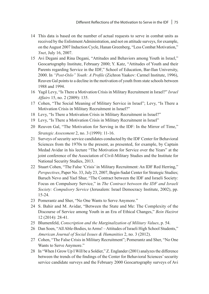- 14 This data is based on the number of actual requests to serve in combat units as received by the Enlistment Administration, and not on attitude surveys, for example, on the August 2007 Induction Cycle, Hanan Greenberg, "Less Combat Motivation," *Ynet*, July 16, 2007.
- 15 Avi Degani and Rina Degani, "Attitudes and Behaviors among Youth in Israel," Geocartography Institute, February 2000; Y. Katz, "Attitudes of Youth and their Parents regarding Service in the IDF," School of Education, Bar-Ilan University, 2000. In *"Post-Oslo" Youth: A Profile* (Zichron Yaakov: Carmel Institute, 1996), Reuven Gal points to a decline in the motivation of youth from state schools between 1988 and 1994.
- 16 Yagil Levy, "Is There a Motivation Crisis in Military Recruitment in Israel?" *Israel Affairs* 15, no. 2 (2009): 135.
- 17 Cohen, "The Social Meaning of Military Service in Israel"; Levy, "Is There a Motivation Crisis in Military Recruitment in Israel?"
- 18 Levy, "Is There a Motivation Crisis in Military Recruitment in Israel?"
- 19 Levy, "Is There a Motivation Crisis in Military Recruitment in Israel"
- 20 Reuven Gal, "The Motivation for Serving in the IDF: In the Mirror of Time," *Strategic Assessment* 2, no. 3 (1999): 11-16.
- 21 Surveys of security service candidates conducted by the IDF Center for Behavioral Sciences from the 1970s to the present, as presented, for example, by Captain Medad Avidar in his lecture "The Motivation for Service over the Years" at the joint conference of the Association of Civil-Military Studies and the Institute for National Security Studies, 2013.
- 22 Stuart Cohen, "The False 'Crisis' in Military Recruitment: An IDF Red Herring," *Perspectives*, Paper No. 33, July 23, 2007, Begin-Sadat Center for Strategic Studies; Baruch Nevo and Yael Shur, "The Contract between the IDF and Israeli Society: Focus on Compulsory Service," in *The Contract between the IDF and Israeli Society: Compulsory Service* (Jerusalem: Israel Democracy Institute, 2002), pp. 15-24.
- 23 Pomerantz and Sher, "No One Wants to Serve Anymore."
- 24 S. Bahir and M. Avidar, "Between the State and Me: The Complexity of the Discourse of Service among Youth in an Era of Ethical Changes," *Bein Hazirot* 12 (2014): 28-41.
- 25 Blumenfeld, *Conscription and the Marginalization of Military Values*, p. 54.
- 26 Dan Soen, "All Able-Bodies, to Arms! Attitudes of Israeli High School Students," *American Journal of Social Issues & Humanities* 2, no. 3 (2012).
- 27 Cohen, "The False Crisis in Military Recruitment"; Pomerantz and Sher, "No One Wants to Serve Anymore."
- 28 In "When I Grow Up I Will be a Soldier," Z. Englander (2001) analyzes the difference between the trends of the findings of the Center for Behavioral Sciences' security service candidate surveys and the February 2000 Geocartography surveys of Avi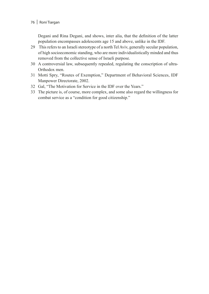## 76 | Roni Tiargan

Degani and Rina Degani, and shows, inter alia, that the definition of the latter population encompasses adolescents age 15 and above, unlike in the IDF.

- 29 This refers to an Israeli stereotype of a north Tel Aviv, generally secular population, of high socioeconomic standing, who are more individualistically minded and thus removed from the collective sense of Israeli purpose.
- 30 A controversial law, subsequently repealed, regulating the conscription of ultra-Orthodox men.
- 31 Motti Spry, "Routes of Exemption," Department of Behavioral Sciences, IDF Manpower Directorate, 2002.
- 32 Gal, "The Motivation for Service in the IDF over the Years."
- 33 The picture is, of course, more complex, and some also regard the willingness for combat service as a "condition for good citizenship."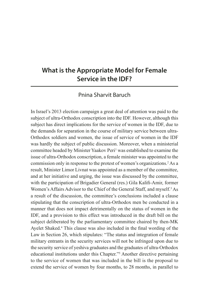# **What is the Appropriate Model for Female Service in the IDF?**

# Pnina Sharvit Baruch

In Israel's 2013 election campaign a great deal of attention was paid to the subject of ultra-Orthodox conscription into the IDF. However, although this subject has direct implications for the service of women in the IDF, due to the demands for separation in the course of military service between ultra-Orthodox soldiers and women, the issue of service of women in the IDF was hardly the subject of public discussion. Moreover, when a ministerial committee headed by Minister Yaakov Peri<sup>1</sup> was established to examine the issue of ultra-Orthodox conscription, a female minister was appointed to the commission only in response to the protest of women's organizations.2 As a result, Minister Limor Livnat was appointed as a member of the committee, and at her initiative and urging, the issue was discussed by the committee, with the participation of Brigadier General (res.) Gila Kalifi-Amir, former Women's Affairs Advisor to the Chief of the General Staff, and myself.<sup>3</sup> As a result of the discussion, the committee's conclusions included a clause stipulating that the conscription of ultra-Orthodox men be conducted in a manner that does not impact detrimentally on the status of women in the IDF, and a provision to this effect was introduced in the draft bill on the subject deliberated by the parliamentary committee chaired by then-MK Ayelet Shaked.<sup>4</sup> This clause was also included in the final wording of the Law in Section 26, which stipulates: "The status and integration of female military entrants in the security services will not be infringed upon due to the security service of yeshiva graduates and the graduates of ultra-Orthodox educational institutions under this Chapter."5 Another directive pertaining to the service of women that was included in the bill is the proposal to extend the service of women by four months, to 28 months, in parallel to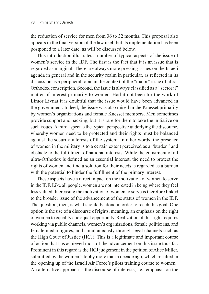the reduction of service for men from 36 to 32 months. This proposal also appears in the final version of the law itself but its implementation has been postponed to a later date, as will be discussed below.

This introduction illustrates a number of typical aspects of the issue of women's service in the IDF. The first is the fact that it is an issue that is regarded as marginal. There are always more pressing issues on the Israeli agenda in general and in the security realm in particular, as reflected in its discussion as a peripheral topic in the context of the "major" issue of ultra-Orthodox conscription. Second, the issue is always classified as a "sectoral" matter of interest primarily to women. Had it not been for the work of Limor Livnat it is doubtful that the issue would have been advanced in the government. Indeed, the issue was also raised in the Knesset primarily by women's organizations and female Knesset members. Men sometimes provide support and backing, but it is rare for them to take the initiative on such issues. A third aspect is the typical perspective underlying the discourse, whereby women need to be protected and their rights must be balanced against the security interests of the system. In other words, the presence of women in the military is to a certain extent perceived as a "burden" and obstacle to the fulfillment of national interests. While the enlistment of all ultra-Orthodox is defined as an essential interest, the need to protect the rights of women and find a solution for their needs is regarded as a burden with the potential to hinder the fulfillment of the primary interest.

These aspects have a direct impact on the motivation of women to serve in the IDF. Like all people, women are not interested in being where they feel less valued. Increasing the motivation of women to serve is therefore linked to the broader issue of the advancement of the status of women in the IDF. The question, then, is what should be done in order to reach this goal. One option is the use of a discourse of rights, meaning, an emphasis on the right of women to equality and equal opportunity. Realization of this right requires working via public channels, women's organizations, female politicians, and female media figures, and simultaneously through legal channels such as the High Court of Justice (HCJ). This is a legitimate and important course of action that has achieved most of the advancement on this issue thus far. Prominent in this regard is the HCJ judgement in the petition of Alice Miller, submitted by the women's lobby more than a decade ago, which resulted in the opening up of the Israeli Air Force's pilots training course to women.6 An alternative approach is the discourse of interests, i.e., emphasis on the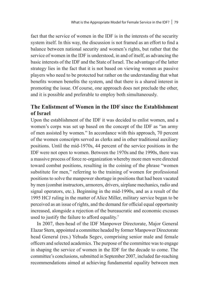fact that the service of women in the IDF is in the interests of the security system itself. In this way, the discussion is not framed as an effort to find a balance between national security and women's rights, but rather that the service of women in the IDF is understood, in and of itself, as advancing the basic interests of the IDF and the State of Israel. The advantage of the latter strategy lies in the fact that it is not based on viewing women as passive players who need to be protected but rather on the understanding that what benefits women benefits the system, and that there is a shared interest in promoting the issue. Of course, one approach does not preclude the other, and it is possible and preferable to employ both simultaneously.

# **The Enlistment of Women in the IDF since the Establishment of Israel**

Upon the establishment of the IDF it was decided to enlist women, and a women's corps was set up based on the concept of the IDF as "an army of men assisted by women." In accordance with this approach, 70 percent of the women conscripts served as clerks and in other traditional auxiliary positions. Until the mid-1970s, 44 percent of the service positions in the IDF were not open to women. Between the 1970s and the 1990s, there was a massive process of force re-organization whereby more men were directed toward combat positions, resulting in the coining of the phrase "women substitute for men," referring to the training of women for professional positions to solve the manpower shortage in positions that had been vacated by men (combat instructors, armorers, drivers, airplane mechanics, radio and signal operators, etc.). Beginning in the mid-1990s, and as a result of the 1995 HCJ ruling in the matter of Alice Miller, military service began to be perceived as an issue of rights, and the demand for official equal opportunity increased, alongside a rejection of the bureaucratic and economic excuses used to justify the failure to afford equality.7

In 2007, then-head of the IDF Manpower Directorate, Major General Elazar Stern, appointed a committee headed by former Manpower Directorate head General (res.) Yehuda Segev, comprising senior male and female officers and selected academics. The purpose of the committee was to engage in shaping the service of women in the IDF for the decade to come. The committee's conclusions, submitted in September 2007, included far-reaching recommendations aimed at achieving fundamental equality between men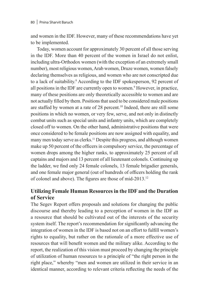and women in the IDF. However, many of these recommendations have yet to be implemented.

Today, women account for approximately 30 percent of all those serving in the IDF. More than 40 percent of the women in Israel do not enlist, including ultra-Orthodox women (with the exception of an extremely small number), most religious women, Arab women, Druze women, women falsely declaring themselves as religious, and women who are not conscripted due to a lack of suitability.8 According to the IDF spokesperson, 92 percent of all positions in the IDF are currently open to women.<sup>9</sup> However, in practice, many of these positions are only theoretically accessible to women and are not actually filled by them. Positions that used to be considered male positions are staffed by women at a rate of 28 percent.10 Indeed, there are still some positions in which no women, or very few, serve, and not only in distinctly combat units such as special units and infantry units, which are completely closed off to women. On the other hand, administrative positions that were once considered to be female positions are now assigned with equality, and many men today serve as clerks.<sup>11</sup> Despite this progress, and although women make up 50 percent of the officers in compulsory service, the percentage of women drops among the higher ranks, to approximately 25 percent of all captains and majors and 13 percent of all lieutenant colonels. Continuing up the ladder, we find only 24 female colonels, 13 female brigadier generals, and one female major general (out of hundreds of officers holding the rank of colonel and above). The figures are those of mid-2013.<sup>12</sup>

## **Utilizing Female Human Resources in the IDF and the Duration of Service**

The Segev Report offers proposals and solutions for changing the public discourse and thereby leading to a perception of women in the IDF as a resource that should be cultivated out of the interests of the security system itself. The report's recommendation for significantly advancing the integration of women in the IDF is based not on an effort to fulfill women's rights to equality, but rather on the rationale of a more effective use of resources that will benefit women and the military alike. According to the report, the realization of this vision must proceed by changing the principle of utilization of human resources to a principle of "the right person in the right place," whereby "men and women are utilized in their service in an identical manner, according to relevant criteria reflecting the needs of the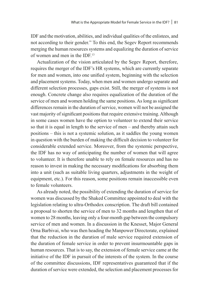IDF and the motivation, abilities, and individual qualities of the enlistees, and not according to their gender." To this end, the Segev Report recommends merging the human resources systems and equalizing the duration of service of women and men in the IDF.13

Actualization of the vision articulated by the Segev Report, therefore, requires the merger of the IDF's HR systems, which are currently separate for men and women, into one unified system, beginning with the selection and placement systems. Today, when men and women undergo separate and different selection processes, gaps exist. Still, the merger of systems is not enough. Concrete change also requires equalization of the duration of the service of men and women holding the same positions. As long as significant differences remain in the duration of service, women will not be assigned the vast majority of significant positions that require extensive training. Although in some cases women have the option to volunteer to extend their service so that it is equal in length to the service of men – and thereby attain such positions – this is not a systemic solution, as it saddles the young women in question with the burden of making the difficult decision to volunteer for considerable extended service. Moreover, from the systemic perspective, the IDF has no way of anticipating the number of women that will agree to volunteer. It is therefore unable to rely on female resources and has no reason to invest in making the necessary modifications for absorbing them into a unit (such as suitable living quarters, adjustments in the weight of equipment, etc.). For this reason, some positions remain inaccessible even to female volunteers.

As already noted, the possibility of extending the duration of service for women was discussed by the Shaked Committee appointed to deal with the legislation relating to ultra-Orthodox conscription. The draft bill contained a proposal to shorten the service of men to 32 months and lengthen that of women to 28 months, leaving only a four-month gap between the compulsory service of men and women. In a discussion in the Knesset, Major General Orna Barbivai, who was then heading the Manpower Directorate, explained that the reduction in the duration of male service required extension of the duration of female service in order to prevent insurmountable gaps in human resources. That is to say, the extension of female service came at the initiative of the IDF in pursuit of the interests of the system. In the course of the committee discussions, IDF representatives guaranteed that if the duration of service were extended, the selection and placement processes for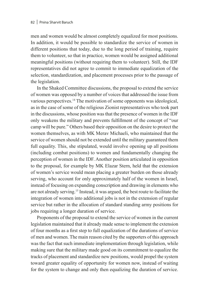men and women would be almost completely equalized for most positions. In addition, it would be possible to standardize the service of women in different positions that today, due to the long period of training, require them to volunteer, so that in practice, women would be assigned additional meaningful positions (without requiring them to volunteer). Still, the IDF representatives did not agree to commit to immediate equalization of the selection, standardization, and placement processes prior to the passage of the legislation.

In the Shaked Committee discussions, the proposal to extend the service of women was opposed by a number of voices that addressed the issue from various perspectives.14 The motivation of some opponents was ideological, as in the case of some of the religious Zionist representatives who took part in the discussions, whose position was that the presence of women in the IDF only weakens the military and prevents fulfillment of the concept of "our camp will be pure." Others based their opposition on the desire to protect the women themselves, as with MK Merav Michaeli, who maintained that the service of women should not be extended until the military guaranteed them full equality. This, she stipulated, would involve opening up all positions (including combat positions) to women and fundamentally changing the perception of women in the IDF. Another position articulated in opposition to the proposal, for example by MK Elazar Stern, held that the extension of women's service would mean placing a greater burden on those already serving, who account for only approximately half of the women in Israel, instead of focusing on expanding conscription and drawing in elements who are not already serving.15 Instead, it was argued, the best route to facilitate the integration of women into additional jobs is not in the extension of regular service but rather in the allocation of standard standing army positions for jobs requiring a longer duration of service.

Proponents of the proposal to extend the service of women in the current legislation maintained that it already made sense to implement the extension of four months as a first step to full equalization of the durations of service of men and women. The main reason cited by the supporters of this approach was the fact that such immediate implementation through legislation, while making sure that the military made good on its commitment to equalize the tracks of placement and standardize new positions, would propel the system toward greater equality of opportunity for women now, instead of waiting for the system to change and only then equalizing the duration of service.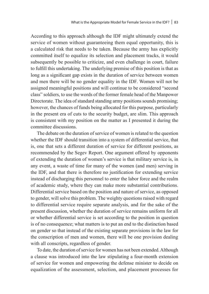According to this approach although the IDF might ultimately extend the service of women without guaranteeing them equal opportunity, this is a calculated risk that needs to be taken. Because the army has explicitly committed itself to equalize its selection and placement tracks, it would subsequently be possible to criticize, and even challenge in court, failure to fulfill this undertaking. The underlying premise of this position is that as long as a significant gap exists in the duration of service between women and men there will be no gender equality in the IDF. Women will not be assigned meaningful positions and will continue to be considered "second class" soldiers, to use the words of the former female head of the Manpower Directorate. The idea of standard standing army positions sounds promising; however, the chances of funds being allocated for this purpose, particularly in the present era of cuts to the security budget, are slim. This approach is consistent with my position on the matter as I presented it during the committee discussions.

The debate on the duration of service of women is related to the question whether the IDF should transition into a system of differential service, that is, one that sets a different duration of service for different positions, as recommended by the Segev Report. One argument offered by opponents of extending the duration of women's service is that military service is, in any event, a waste of time for many of the women (and men) serving in the IDF, and that there is therefore no justification for extending service instead of discharging this personnel to enter the labor force and the realm of academic study, where they can make more substantial contributions. Differential service based on the position and nature of service, as opposed to gender, will solve this problem. The weighty questions raised with regard to differential service require separate analysis, and for the sake of the present discussion, whether the duration of service remains uniform for all or whether differential service is set according to the position in question is of no consequence; what matters is to put an end to the distinction based on gender so that instead of the existing separate provisions in the law for the conscription of men and women, there will be one provision dealing with all conscripts, regardless of gender.

To date, the duration of service for women has not been extended. Although a clause was introduced into the law stipulating a four-month extension of service for women and empowering the defense minister to decide on equalization of the assessment, selection, and placement processes for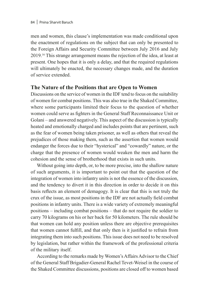men and women, this clause's implementation was made conditional upon the enactment of regulations on the subject that can only be presented to the Foreign Affairs and Security Committee between July 2016 and July 2019.16 This strange arrangement means the rejection of the idea, at least at present. One hopes that it is only a delay, and that the required regulations will ultimately be enacted, the necessary changes made, and the duration of service extended.

## **The Nature of the Positions that are Open to Women**

Discussions on the service of women in the IDF tend to focus on the suitability of women for combat positions. This was also true in the Shaked Committee, where some participants limited their focus to the question of whether women could serve as fighters in the General Staff Reconnaissance Unit or Golani – and answered negatively. This aspect of the discussion is typically heated and emotionally charged and includes points that are pertinent, such as the fear of women being taken prisoner, as well as others that reveal the prejudices of those making them, such as the assertion that women would endanger the forces due to their "hysterical" and "cowardly" nature, or the charge that the presence of women would weaken the men and harm the cohesion and the sense of brotherhood that exists in such units.

Without going into depth, or, to be more precise, into the shallow nature of such arguments, it is important to point out that the question of the integration of women into infantry units is not the essence of the discussion, and the tendency to divert it in this direction in order to decide it on this basis reflects an element of demagogy. It is clear that this is not truly the crux of the issue, as most positions in the IDF are not actually field combat positions in infantry units. There is a wide variety of extremely meaningful positions – including combat positions – that do not require the soldier to carry 70 kilograms on his or her back for 50 kilometers. The rule should be that women can hold any position unless there are objective prerequisites that women cannot fulfill, and that only then is it justified to refrain from integrating them into such positions. This issue does not need to be resolved by legislation, but rather within the framework of the professional criteria of the military itself.

According to the remarks made by Women's Affairs Advisor to the Chief of the General Staff Brigadier-General Rachel Tevet-Weisel in the course of the Shaked Committee discussions, positions are closed off to women based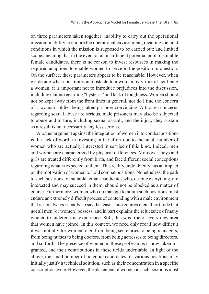on three parameters taken together: inability to carry out the operational mission; inability to endure the operational environment, meaning the field conditions in which the mission is supposed to be carried out; and limited scope, meaning that in the event of an insufficient potential pool of suitable female candidates, there is no reason to invest resources in making the required adaptions to enable women to serve in the position in question. On the surface, these parameters appear to be reasonable. However, when we decide what constitutes an obstacle to a woman by virtue of her being a woman, it is important not to introduce prejudices into the discussion, including claims regarding "hysteria" and lack of toughness. Women should not be kept away from the front lines in general, nor do I find the concern of a woman soldier being taken prisoner convincing. Although concerns regarding sexual abuse are serious, male prisoners may also be subjected to abuse and torture, including sexual assault, and the injury they sustain as a result is not necessarily any less serious.

Another argument against the integration of women into combat positions is the lack of worth in investing in the effort due to the small number of women who are actually interested in service of this kind. Indeed, men and women are characterized by physical differences. Moreover, boys and girls are treated differently from birth, and face different social conceptions regarding what is expected of them. This reality undoubtedly has an impact on the motivation of women to hold combat positions. Nonetheless, the path to such positions for suitable female candidates who, despite everything, are interested and may succeed in them, should not be blocked as a matter of course. Furthermore, women who do manage to attain such positions must endure an extremely difficult process of contending with a male environment that is not always friendly, to say the least. This requires mental fortitude that not all men (or women) possess, and in part explains the reluctance of many women to undergo this experience. Still, this was true of every new area that women have joined. In this context, we need only recall how difficult it was initially for women to go from being secretaries to being managers, from being nurses to being doctors, from being actresses to being directors, and so forth. The presence of women in these professions is now taken for granted, and their contributions in these fields undeniable. In light of the above, the small number of potential candidates for various positions may initially justify a technical solution, such as their concentration in a specific conscription cycle. However, the placement of women in such positions must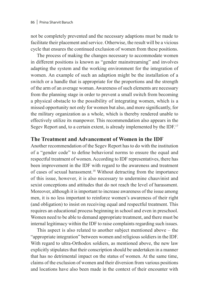not be completely prevented and the necessary adaptions must be made to facilitate their placement and service. Otherwise, the result will be a vicious cycle that ensures the continued exclusion of women from these positions.

The process of making the changes necessary to accommodate women in different positions is known as "gender mainstreaming" and involves adapting the system and the working environment for the integration of women. An example of such an adaption might be the installation of a switch or a handle that is appropriate for the proportions and the strength of the arm of an average woman. Awareness of such elements are necessary from the planning stage in order to prevent a small switch from becoming a physical obstacle to the possibility of integrating women, which is a missed opportunity not only for women but also, and more significantly, for the military organization as a whole, which is thereby rendered unable to effectively utilize its manpower. This recommendation also appears in the Segev Report and, to a certain extent, is already implemented by the IDF.<sup>17</sup>

## **The Treatment and Advancement of Women in the IDF**

Another recommendation of the Segev Report has to do with the institution of a "gender code" to define behavioral norms to ensure the equal and respectful treatment of women. According to IDF representatives, there has been improvement in the IDF with regard to the awareness and treatment of cases of sexual harassment.18 Without detracting from the importance of this issue, however, it is also necessary to undermine chauvinist and sexist conceptions and attitudes that do not reach the level of harassment. Moreover, although it is important to increase awareness of the issue among men, it is no less important to reinforce women's awareness of their right (and obligation) to insist on receiving equal and respectful treatment. This requires an educational process beginning in school and even in preschool. Women need to be able to demand appropriate treatment, and there must be internal legitimacy within the IDF to raise complaints regarding such issues.

This aspect is also related to another subject mentioned above – the "appropriate integration" between women and religious soldiers in the IDF. With regard to ultra-Orthodox soldiers, as mentioned above, the new law explicitly stipulates that their conscription should be undertaken in a manner that has no detrimental impact on the status of women. At the same time, claims of the exclusion of women and their diversion from various positions and locations have also been made in the context of their encounter with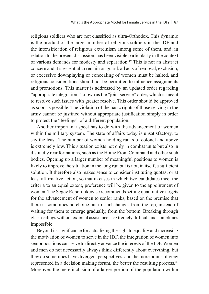religious soldiers who are not classified as ultra-Orthodox. This dynamic is the product of the larger number of religious soldiers in the IDF and the intensification of religious extremism among some of them, and, in relation to the present discussion, has been visible particularly in the context of various demands for modesty and separation.19 This is not an abstract concern and it is essential to remain on guard: all acts of removal, exclusion, or excessive downplaying or concealing of women must be halted, and religious considerations should not be permitted to influence assignments and promotions. This matter is addressed by an updated order regarding "appropriate integration," known as the "joint service" order, which is meant to resolve such issues with greater resolve. This order should be approved as soon as possible. The violation of the basic rights of those serving in the army cannot be justified without appropriate justification simply in order to protect the "feelings" of a different population.

Another important aspect has to do with the advancement of women within the military system. The state of affairs today is unsatisfactory, to say the least. The number of women holding ranks of colonel and above is extremely low. This situation exists not only in combat units but also in distinctly rear formations, such as the Home Front Command and other such bodies. Opening up a larger number of meaningful positions to women is likely to improve the situation in the long run but is not, in itself, a sufficient solution. It therefore also makes sense to consider instituting quotas, or at least affirmative action, so that in cases in which two candidates meet the criteria to an equal extent, preference will be given to the appointment of women. The Segev Report likewise recommends setting quantitative targets for the advancement of women to senior ranks, based on the premise that there is sometimes no choice but to start changes from the top, instead of waiting for them to emerge gradually, from the bottom. Breaking through glass ceilings without external assistance is extremely difficult and sometimes impossible.

Beyond its significance for actualizing the right to equality and increasing the motivation of women to serve in the IDF, the integration of women into senior positions can serve to directly advance the interests of the IDF. Women and men do not necessarily always think differently about everything, but they do sometimes have divergent perspectives, and the more points of view represented in a decision making forum, the better the resulting process.<sup>20</sup> Moreover, the mere inclusion of a larger portion of the population within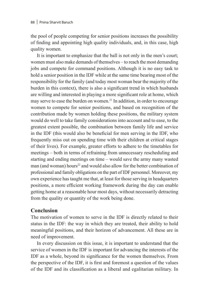the pool of people competing for senior positions increases the possibility of finding and appointing high quality individuals, and, in this case, high quality women.

It is important to emphasize that the ball is not only in the men's court; women must also make demands of themselves – to reach the most demanding jobs and compete for command positions. Although it is no easy task to hold a senior position in the IDF while at the same time bearing most of the responsibility for the family (and today most woman bear the majority of the burden in this context), there is also a significant trend in which husbands are willing and interested in playing a more significant role at home, which may serve to ease the burden on women.21 In addition, in order to encourage women to compete for senior positions, and based on recognition of the contribution made by women holding these positions, the military system would do well to take family considerations into account and to ease, to the greatest extent possible, the combination between family life and service in the IDF (this would also be beneficial for men serving in the IDF, who frequently miss out on spending time with their children at critical stages of their lives). For example, greater efforts to adhere to the timetables for meetings – both in terms of refraining from unnecessary rescheduling and starting and ending meetings on time – would save the army many wasted man (and woman) hours<sup>22</sup> and would also allow for the better combination of professional and family obligations on the part of IDF personnel. Moreover, my own experience has taught me that, at least for those serving in headquarters positions, a more efficient working framework during the day can enable getting home at a reasonable hour most days, without necessarily detracting from the quality or quantity of the work being done.

## **Conclusion**

The motivation of women to serve in the IDF is directly related to their status in the IDF: the way in which they are treated, their ability to hold meaningful positions, and their horizon of advancement. All these are in need of improvement.

In every discussion on this issue, it is important to understand that the service of women in the IDF is important for advancing the interests of the IDF as a whole, beyond its significance for the women themselves. From the perspective of the IDF, it is first and foremost a question of the values of the IDF and its classification as a liberal and egalitarian military. In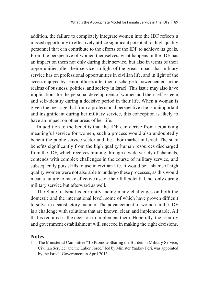addition, the failure to completely integrate women into the IDF reflects a missed opportunity to effectively utilize significant potential for high quality personnel that can contribute to the efforts of the IDF to achieve its goals. From the perspective of women themselves, what happens in the IDF has an impact on them not only during their service, but also in terms of their opportunities after their service, in light of the great impact that military service has on professional opportunities in civilian life, and in light of the access enjoyed by senior officers after their discharge to power centers in the realms of business, politics, and society in Israel. This issue may also have implications for the personal development of women and their self-esteem and self-identity during a decisive period in their life. When a woman is given the message that from a professional perspective she is unimportant and insignificant during her military service, this conception is likely to have an impact on other areas of her life.

In addition to the benefits that the IDF can derive from actualizing meaningful service for women, such a process would also undoubtedly benefit the public service sector and the labor market in Israel. The state benefits significantly from the high quality human resources discharged from the IDF, which receives training through a wide variety of channels, contends with complex challenges in the course of military service, and subsequently puts skills to use in civilian life. It would be a shame if high quality women were not also able to undergo these processes, as this would mean a failure to make effective use of their full potential, not only during military service but afterward as well.

The State of Israel is currently facing many challenges on both the domestic and the international level, some of which have proven difficult to solve in a satisfactory manner. The advancement of women in the IDF is a challenge with solutions that are known, clear, and implementable. All that is required is the decision to implement them. Hopefully, the security and government establishment will succeed in making the right decisions.

#### **Notes**

1 The Ministerial Committee "To Promote Sharing the Burden in Military Service, Civilian Service, and the Labor Force," led by Minister Yaakov Peri, was appointed by the Israeli Government in April 2013.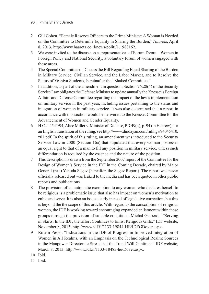#### 90 | Pnina Sharvit Baruch

- 2 Gili Cohen, "Female Reserve Officers to the Prime Minister: A Woman is Needed on the Committee to Determine Equality in Sharing the Burden," *Haaretz*, April 8, 2013, http://www.haaretz.co.il/news/politi/1.1988162.
- 3 We were invited to the discussion as representatives of Forum Dvora Women in Foreign Policy and National Security, a voluntary forum of women engaged with these areas.
- 4 The Special Committee to Discuss the Bill Regarding Equal Sharing of the Burden in Military Service, Civilian Service, and the Labor Market, and to Resolve the Status of Yeshiva Students, hereinafter the "Shaked Committee."
- 5 In addition, as part of the amendment in question, Section 26.28(4) of the Security Service Law obligates the Defense Minister to update annually the Knesset's Foreign Affairs and Defense Committee regarding the impact of the law's implementation on military service in the past year, including issues pertaining to the status and integration of women in military service. It was also determined that a report in accordance with this section would be delivered to the Knesset Committee for the Advancement of Women and Gender Equality.
- 6 H.C.J. 4541/94, Alice Miller v. Minister of Defense, PD 49(4), p. 94 (in Hebrew); for an English translation of the ruling, see http://www.dindayan.com/rulings/94045410. z01.pdf. In the spirit of this ruling, an amendment was introduced to the Security Service Law in 2000 (Section 16a) that stipulated that every woman possesses an equal right to that of a man to fill any position in military service, unless such differentiation is required by the essence and the nature of the position.
- 7 This description is drawn from the September 2007 report of the Committee for the Design of Women's Service in the IDF in the Coming Decade, chaired by Major General (res.) Yehuda Segev (hereafter, the Segev Report). The report was never officially released but was leaked to the media and has been quoted in other public reports and publications.
- 8 The provision of an automatic exemption to any woman who declares herself to be religious is a problematic issue that also has impact on women's motivation to enlist and serve. It is also an issue clearly in need of legislative correction, but this is beyond the the scope of this article. With regard to the conscription of religious women, the IDF is working toward encouraging expanded enlistment within these groups through the provision of suitable conditions. Michal Gelberd, ""Serving in Skirts: In the IDF, the Effort Continues to Enlist Religious Girls," IDF website, November 8, 2013, http://www.idf.il/1133-19844-HE/IDFGDover.aspx.
- 9 Rotem Pesso, "Indications in the IDF of Progress in Improved Integration of Women in All Realms, with an Emphasis on the Technological Realm: Sources in the Manpower Directorate Stress that the Trend Will Continue," IDF website, March 8, 2013, http://www.idf.il/1133-18483-he/Dover.aspx.
- 10 Ibid.
- 11 Ibid.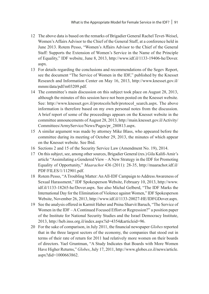- 12 The above data is based on the remarks of Brigadier General Rachel Tevet-Weisel, Women's Affairs Advisor to the Chief of the General Staff, at a conference held in June 2013. Rotem Pesso, "Women's Affairs Advisor to the Chief of the General Staff: Supports the Extension of Women's Service in the Name of the Principle of Equality," IDF website, June 8, 2013, http://www.idf.il/1133-19406-he/Dover. aspx.
- 13 For details regarding the conclusions and recommendations of the Segev Report, see the document "The Service of Women in the IDF," published by the Knesset Research and Information Center on May 16, 2013, http://www.knesset.gov.il/ mmm/data/pdf/m03209.pdf.
- 14 The committee's main discussion on this subject took place on August 28, 2013, although the minutes of this session have not been posted on the Knesset website. See: http://www.knesset.gov.il/protocols/heb/protocol\_search.aspx. The above information is therefore based on my own personal notes from the discussion. A brief report of some of the proceedings appears on the Knesset website in the committee announcements of August 28, 2013, http://main.knesset.gov.il/Activity/ Committees/ArmyService/News/Pages/pr\_280813.aspx.
- 15 A similar argument was made by attorney Mike Blass, who appeared before the committee during its meeting of October 29, 2013, the minutes of which appear on the Knesset website. See Ibid.
- 16 Sections 2 and 15 of the Security Service Law (Amendment No. 19), 2014.
- 17 On this subject, see, among other sources, Brigadier General (res.) Gila Kalifi-Amir's article "Assimilating a Gendered View – A New Strategy in the IDF for Promoting Equality of Opportunity," *Maarachot* 436 (2011): 28-35, http://maarachot.idf.il/ PDF/FILES/1/112901.pdf.
- 18 Rotem Pesso, "A Troubling Matter: An All-IDF Campaign to Address Awareness of Sexual Harassment," IDF Spokesperson Website, February 10, 2013, http://www. idf.il/1133-18265-he/Dover.aspx. See also Michal Gelberd, "The IDF Marks the International Day for the Elimination of Violence against Women," IDF Spokesperson Website, November 26, 2013, http://www.idf.il/1133-20027-HE/IDFGDover.aspx.
- 19 See the analysis offered in Karmit Haber and Pnina Sharvit Baruch, "The Service of Women in the IDF – A Continued Focused Effort or Regression?" a position paper of the Institute for National Security Studies and the Israel Democracy Institute, 2013, http://heb.inss.org.il/index.aspx?id=4354&articleid=96.
- 20 For the sake of comparison, in July 2011, the financial newspaper *Globes* reported that in the three largest sectors of the economy, the companies that stood out in terms of their rate of return for 2011 had relatively more women on their boards of directors. Yael Gruntman, "A Study Indicates that Boards with More Women Have Higher Returns," *Globes*, July 17, 2011, http://www.globes.co.il/news/article. aspx?did=1000663862.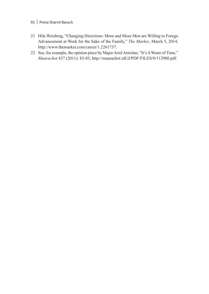- 92 | Pnina Sharvit Baruch
- 21 Hila Weisberg, "Changing Directions: More and More Men are Willing to Forego Advancement at Work for the Sake of the Family," *The Marker*, March 5, 2014, http://www.themarker.com/career/1.2261737.
- 22 See, for example, the opinion piece by Major Ariel Amichai, "It's A Waste of Time," *Maarachot* 437 (2011): 83-85, http://maarachot.idf.il/PDF/FILES/0/112980.pdf.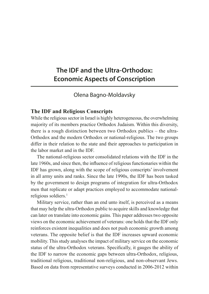# **The IDF and the Ultra-Orthodox: Economic Aspects of Conscription**

Olena Bagno-Moldavsky

## **The IDF and Religious Conscripts**

While the religious sector in Israel is highly heterogeneous, the overwhelming majority of its members practice Orthodox Judaism. Within this diversity, there is a rough distinction between two Orthodox publics – the ultra-Orthodox and the modern Orthodox or national-religious. The two groups differ in their relation to the state and their approaches to participation in the labor market and in the IDF.

The national-religious sector consolidated relations with the IDF in the late 1960s, and since then, the influence of religious functionaries within the IDF has grown, along with the scope of religious conscripts' involvement in all army units and ranks. Since the late 1990s, the IDF has been tasked by the government to design programs of integration for ultra-Orthodox men that replicate or adapt practices employed to accommodate nationalreligious soldiers.<sup>1</sup>

Military service, rather than an end unto itself, is perceived as a means that may help the ultra-Orthodox public to acquire skills and knowledge that can later on translate into economic gains*.* This paper addresses two opposite views on the economic achievement of veterans: one holds that the IDF only reinforces existent inequalities and does not push economic growth among veterans. The opposite belief is that the IDF increases upward economic mobility. This study analyses the impact of military service on the economic status of the ultra-Orthodox veterans. Specifically, it gauges the ability of the IDF to narrow the economic gaps between ultra-Orthodox, religious, traditional religious, traditional non-religious, and non-observant Jews. Based on data from representative surveys conducted in 2006-2012 within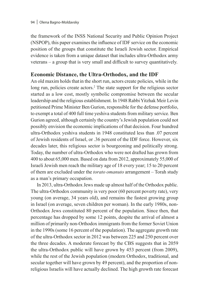the framework of the INSS National Security and Public Opinion Project (NSPOP), this paper examines the influence of IDF service on the economic position of the groups that constitute the Israeli Jewish sector. Empirical evidence is taken from a unique dataset that includes ultra-Orthodox army veterans – a group that is very small and difficult to survey quantitatively.

## **Economic Distance, the Ultra-Orthodox, and the IDF**

An old maxim holds thatin the short run, actors create policies, while in the long run, policies create actors.<sup>2</sup> The state support for the religious sector started as a low cost, mostly symbolic compromise between the secular leadership and the religious establishment. In 1948 Rabbi Yitzhak Meir Levin petitioned Prime Minister Ben Gurion, responsible for the defense portfolio, to exempt a total of 400 full time yeshiva students from military service. Ben Gurion agreed, although certainly the country's Jewish population could not possibly envision the economic implications of that decision. Four hundred ultra-Orthodox yeshiva students in 1948 constituted less than .07 percent of Jewish residents of Israel, or .36 percent of the IDF force. However, six decades later, this religious sector is bourgeoning and politically strong. Today, the number of ultra-Orthodox who were not drafted has grown from 400 to about 65,000 men. Based on data from 2012, approximately 55,000 of Israeli Jewish men reach the military age of 18 every year; 15 to 20 percent of them are excluded under the *torato omanuto* arrangement – Torah study as a man's primary occupation.

In 2013, ultra-Orthodox Jews made up almost half of the Orthodox public. The ultra-Orthodox community is very poor (60 percent poverty rate), very young (on average, 34 years old), and remains the fastest growing group in Israel (on average, seven children per woman). In the early 1980s, non-Orthodox Jews constituted 80 percent of the population. Since then, that percentage has dropped by some 12 points, despite the arrival of almost a million of primarily non-Orthodox immigrants from the former Soviet Union in the 1990s (some 16 percent of the population). The aggregate growth rate of the ultra-Orthodox sector in 2012 was between 225 and 250 percent over the three decades. A moderate forecast by the CBS suggests that in 2059 the ultra-Orthodox public will have grown by 453 percent (from 2009), while the rest of the Jewish population (modern Orthodox, traditional, and secular together will have grown by 49 percent), and the proportion of nonreligious Israelis will have actually declined. The high growth rate forecast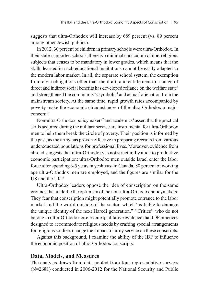suggests that ultra-Orthodox will increase by 689 percent (vs. 89 percent among other Jewish publics).

In 2012, 30 percent of children in primary schools were ultra-Orthodox. In their state-supported schools, there is a minimal curriculum of non-religious subjects that ceases to be mandatory in lower grades, which means that the skills learned in such educational institutions cannot be easily adapted to the modern labor market. In all, the separate school system, the exemption from civic obligations other than the draft, and entitlement to a range of direct and indirect social benefits has developed reliance on the welfare state<sup>3</sup> and strengthened the community's symbolic<sup>4</sup> and actual<sup>5</sup> alienation from the mainstream society. At the same time, rapid growth rates accompanied by poverty make the economic circumstances of the ultra-Orthodox a major concern<sup>6</sup>

Non-ultra-Orthodox policymakers<sup>7</sup> and academics<sup>8</sup> assert that the practical skills acquired during the military service are instrumental for ultra-Orthodox men to help them break the circle of poverty. Their position is informed by the past, as the army has proven effective in preparing recruits from various undereducated populations for professional lives. Moreover, evidence from abroad suggests that ultra-Orthodoxy is not structurally alien to productive economic participation: ultra-Orthodox men outside Israel enter the labor force after spending 3-5 years in yeshivas; in Canada, 80 percent of working age ultra-Orthodox men are employed, and the figures are similar for the US and the UK $9$ 

Ultra-Orthodox leaders oppose the idea of conscription on the same grounds that underlie the optimism of the non-ultra-Orthodox policymakers. They fear that conscription might potentially promote entrance to the labor market and the world outside of the sector, which "is liable to damage the unique identity of the next Haredi generation."<sup>10</sup> Critics<sup>11</sup> who do not belong to ultra-Orthodox circles cite qualitative evidence that IDF practices designed to accommodate religious needs by crafting special arrangements for religious soldiers change the impact of army service on these conscripts.

Against this background, I examine the ability of the IDF to influence the economic position of ultra-Orthodox conscripts.

## **Data, Models, and Measures**

The analysis draws from data pooled from four representative surveys (N=2681) conducted in 2006-2012 for the National Security and Public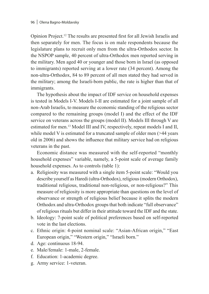Opinion Project.12 The results are presented first for all Jewish Israelis and then separately for men. The focus is on male respondents because the legislature plans to recruit only men from the ultra-Orthodox sector. In the NSPOP sample, 40 percent of ultra-Orthodox men reported serving in the military. Men aged 40 or younger and those born in Israel (as opposed to immigrants) reported serving at a lower rate (34 percent). Among the non-ultra-Orthodox, 84 to 89 percent of all men stated they had served in the military; among the Israeli-born public, the rate is higher than that of immigrants.

The hypothesis about the impact of IDF service on household expenses is tested in Models I-V. Models I-II are estimated for a joint sample of all non-Arab Israelis, to measure the economic standing of the religious sector compared to the remaining groups (model I) and the effect of the IDF service on veterans across the groups (model II). Models III through V are estimated for men.13 Model III and IV, respectively, repeat models I and II, while model V is estimated for a truncated sample of older men (>44 years old in 2006) and shows the influence that military service had on religious veterans in the past.

Economic distance was measured with the self-reported "monthly household expenses" variable, namely, a 5-point scale of average family household expenses. As to controls (table 1):

- a. Religiosity was measured with a single item 5-point scale: "Would you describe yourself as Haredi (ultra-Orthodox), religious (modern Orthodox), traditional religious, traditional non-religious, or non-religious?" This measure of religiosity is more appropriate than questions on the level of observance or strength of religious belief because it splits the modern Orthodox and ultra-Orthodox groups that both indicate "full observance" of religious rituals but differ in their attitude toward the IDF and the state.
- b. Ideology: 7-point scale of political preferences based on self-reported vote in the last elections.
- c. Ethnic origin: 4-point nominal scale: "Asian-African origin," "East European origin," "Western origin," "Israeli born."
- d. Age: continuous 18-94.
- e. Male/female: 1-male, 2-female.
- f. Education: 1-academic degree.
- g. Army service: 1-veteran.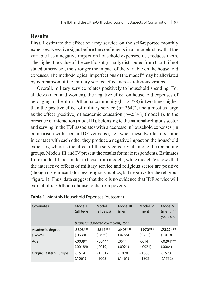## **Results**

First, I estimate the effect of army service on the self-reported monthly expenses. Negative signs before the coefficients in all models show that the variable has a negative impact on household expenses, i.e., reduces them. The higher the value of the coefficient (usually distributed from 0 to 1, if not stated otherwise), the stronger the impact of the variable on the household expenses. The methodological imperfections of the model<sup>14</sup> may be alleviated by comparison of the military service effect across religious groups.

Overall, military service relates positively to household spending. For all Jews (men and women), the negative effect on household expenses of belonging to the ultra-Orthodox community (b=-.4728) is two times higher than the positive effect of military service  $(b=2647)$ , and almost as large as the effect (positive) of academic education (b=.5898) (model I). In the presence of interaction (model II), belonging to the national-religious sector and serving in the IDF associates with a decrease in household expenses (in comparison with secular IDF veterans), i.e., when these two factors come in contact with each other they produce a negative impact on the household expenses, whereas the effect of the service is trivial among the remaining groups. Models III and IV present the results for male respondents. Estimates from model III are similar to those from model I, while model IV shows that the interactive effects of military service and religious sector are positive (though insignificant) for less religious publics, but negative for the religious (figure 1). Thus, data suggest that there is no evidence that IDF service will extract ultra-Orthodox households from poverty.

| Covariates             | Model I<br>(all Jews)                | Model II<br>(all Jews) | Model III<br>(men) | Model IV<br>(men) | Model V<br>(men > 44)<br>years old) |  |  |  |
|------------------------|--------------------------------------|------------------------|--------------------|-------------------|-------------------------------------|--|--|--|
|                        | b (unstandardized coefficient), (SE) |                        |                    |                   |                                     |  |  |  |
| Academic degree        | .5898***                             | $.5814***$             | .6495***           | $.5972***$        | $.7322***$                          |  |  |  |
| $(1 = yes)$            | (.0639)                              | (.0639)                | (.0755)            | (.0755)           | (.1079)                             |  |  |  |
| Age                    | $-0.0039*$                           | $-0.0044*$             | .0011              | .0014             | $-.0204***$                         |  |  |  |
|                        | (.00189)                             | (.0019)                | (.0021)            | (.0021)           | (.0064)                             |  |  |  |
| Origin: Eastern Europe | $-1514$                              | $-15512$               | $-1878$            | $-1668$           | $-1573$                             |  |  |  |
|                        | (.1061)                              | (.1063)                | (.1461)            | (.1302)           | (.1552)                             |  |  |  |

#### **Table 1.** Monthly Household Expenses (outcome)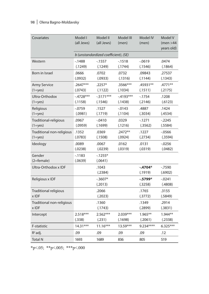# 98 | Olena Bagno-Moldavsky

| Covariates                               | Model I<br>(all Jews)                | Model II<br>(all Jews)  | Model III<br>(men)    | <b>Model IV</b><br>(men) | Model V<br>(men > 44)<br>years old) |  |  |  |
|------------------------------------------|--------------------------------------|-------------------------|-----------------------|--------------------------|-------------------------------------|--|--|--|
|                                          | b (unstandardized coefficient), (SE) |                         |                       |                          |                                     |  |  |  |
| Western                                  | $-1488$<br>(.1249)                   | $-1557$<br>(.1249)      | $-1518$<br>(.1744)    | $-0619$<br>(.1546)       | .0474<br>(.1864)                    |  |  |  |
| Born in Israel                           | .0666<br>(.0932)                     | .0702<br>(.0933)        | .0732<br>(.1316)      | .09843<br>(.1144)        | .27537<br>(.1343)                   |  |  |  |
| <b>Army Service</b><br>$(1 = yes)$       | $.2647***$<br>(.0743)                | $.2257*$<br>(.1122)     | $.3566***$<br>(.1034) | .45931**<br>(.1511)      | .4771**<br>(.2175)                  |  |  |  |
| Ultra-Orthodox<br>$(1 = yes)$            | $-4728***$<br>(.1158)                | $-0.5171***$<br>(.1546) | $-4193***$<br>(.1438) | $-1754$<br>(.2146)       | .1208<br>(.6123)                    |  |  |  |
| Religious<br>$(1 = yes)$                 | $-0759$<br>(.0981)                   | .1527<br>(.1719)        | $-0.0143$<br>(.1104)  | .4887<br>(.3034)         | .1424<br>(.4534)                    |  |  |  |
| Traditional-religious<br>$(1 = yes)$     | .0967<br>(.0959)                     | $-0.0410$<br>(.1699)    | .0329<br>(.1216)      | $-1271$<br>(.3562)       | $-2245$<br>(.5584)                  |  |  |  |
| Traditional non-religious<br>$(1 = yes)$ | .1352<br>(.0783)                     | .0369<br>(.1508)        | $.2472**$<br>(.0924)  | .1227<br>(.2734)         | $-0566$<br>(.3594)                  |  |  |  |
| Ideology                                 | .0089<br>(.0238)                     | .0067<br>(.0239)        | .0162<br>(.0319)      | .0131<br>(.0319)         | $-0.0256$<br>(.0482)                |  |  |  |
| Gender<br>$(2=female)$                   | $-1183$<br>(.0639)                   | $-1255*$<br>(.0641)     |                       |                          |                                     |  |  |  |
| Ultra-Orthodox x IDF                     |                                      | .1043<br>(.2384)        |                       | $-.4704*$<br>(.1919)     | $-7590$<br>(.6902)                  |  |  |  |
| Religious x IDF                          |                                      | $-0.3607*$<br>(.2013)   |                       | $-.5799*$<br>(.3258)     | $-0.0241$<br>(.4808)                |  |  |  |
| Traditional religious<br>x IDF           |                                      | .2066<br>(.2023)        |                       | .1765<br>(.3772)         | .3155<br>(.5849)                    |  |  |  |
| Traditional non-religious<br>x IDF       |                                      | .1360<br>(.1743)        |                       | .1349<br>(.2899)         | .2914<br>(.3831)                    |  |  |  |
| Intercept                                | 2.518***<br>(.338)                   | $2.562***$<br>(.231)    | $2.039***$<br>(.1698) | 1.965**<br>(.2061)       | $1.944**$<br>(.2338)                |  |  |  |
| F-statistic                              | $14.31***$                           | $11.16***$              | $13.59***$            | $9.234***$               | $6.325***$                          |  |  |  |
| $R^2$ adj.                               | .09                                  | .09                     | .09                   | .09                      | .12                                 |  |  |  |
| <b>Total N</b>                           | 1693                                 | 1689                    | 836                   | 805                      | 519                                 |  |  |  |

\*p<.05; \*\*p<.005; \*\*\*p<.000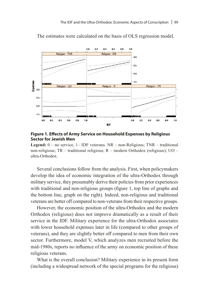

The estimates were calculated on the basis of OLS regression model.

#### **Figure 1. Effects of Army Service on Household Expenses by Religious Sector for Jewish Men**

**Legend:** 0 – no service, 1– IDF veterans. NR – non-Religious; TNR – traditional non-religious; TR – traditional religious; R – modern Orthodox (religious); UO – ultra-Orthodox.

Several conclusions follow from the analysis. First, when policymakers develop the idea of economic integration of the ultra-Orthodox through military service, they presumably derive their policies from prior experiences with traditional and non-religious groups (figure 1, top line of graphs and the bottom line, graph on the right). Indeed, non-religious and traditional veterans are better off compared to non-veterans from their respective groups.

However, the economic position of the ultra-Orthodox and the modern Orthodox (religious) does not improve dramatically as a result of their service in the IDF. Military experience for the ultra-Orthodox associates with lower household expenses later in life (compared to other groups of veterans), and they are slightly better off compared to men from their own sector. Furthermore, model V, which analyzes men recruited before the mid-1980s, reports no influence of the army on economic position of these religious veterans.

What is the overall conclusion? Military experience in its present form (including a widespread network of the special programs for the religious)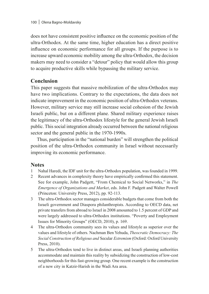does not have consistent positive influence on the economic position of the ultra-Orthodox. At the same time, higher education has a direct positive influence on economic performance for all groups. If the purpose is to increase upward economic mobility among the ultra-Orthodox, the decision makers may need to consider a "detour" policy that would allow this group to acquire productive skills while bypassing the military service.

# **Conclusion**

This paper suggests that massive mobilization of the ultra-Orthodox may have two implications. Contrary to the expectations, the data does not indicate improvement in the economic position of ultra-Orthodox veterans. However, military service may still increase social cohesion of the Jewish Israeli public, but on a different plane. Shared military experience raises the legitimacy of the ultra-Orthodox lifestyle for the general Jewish Israeli public. This social integration already occurred between the national religious sector and the general public in the 1970-1990s.

Thus, participation in the "national burden" will strengthen the political position of the ultra-Orthodox community in Israel without necessarily improving its economic performance.

## **Notes**

- 1 Nahal Haredi, the IDF unit for the ultra-Orthodox population, was founded in 1999.
- 2 Recent advances in complexity theory have empirically confirmed this statement. See for example, John Padgett, "From Chemical to Social Networks," in *The Emergence of Organizations and Market*, eds. John F. Padgett and Walter Powell (Princeton: University Press, 2012), pp. 92-113.
- 3 The ultra-Orthodox sector manages considerable budgets that come from both the Israeli government and Diaspora philanthropists. According to OECD data, net private transfers from abroad to Israel in 2008 amounted to 1.5 percent of GDP and were largely addressed to ultra-Orthodox institutions. "Poverty and Employment Issues for Minority Groups" (OECD, 2010), p. 169.
- 4 The ultra-Orthodox community sees its values and lifestyle as superior over the values and lifestyle of others. Nachman Ben Yehuda, *Theocratic Democracy: The Social Construction of Religious and* Secular *Extremism* (Oxford: Oxford University Press, 2010).
- 5 The ultra-Orthodox tend to live in distinct areas, and Israeli planning authorities accommodate and maintain this reality by subsidizing the construction of low-cost neighborhoods for this fast-growing group. One recent example is the construction of a new city in Katzir-Harish in the Wadi Ara area.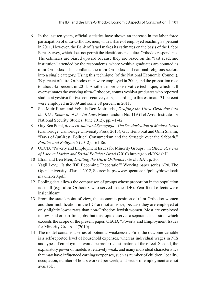- 6 In the last ten years, official statistics have shown an increase in the labor force participation of ultra-Orthodox men, with a share of employed reaching 38 percent in 2011. However, the Bank of Israel makes its estimates on the basis of the Labor Force Survey, which does not permit the identification of ultra-Orthodox respondents. The estimates are biased upward because they are based on the "last academic institution" attended by the respondents, where yeshiva graduates are counted as ultra-Orthodox. This conflates the ultra-Orthodox and national religious sectors into a single category. Using this technique (of the National Economic Council), 39 percent of ultra-Orthodox men were employed in 2009, and the proportion rose to about 45 percent in 2011. Another, more conservative technique, which still overestimates the working ultra-Orthodox, counts yeshiva graduates who reported studies at yeshiva for two consecutive years; according to this estimate, 31 percent were employed in 2009 and some 38 percent in 2011.
- 7 See Meir Elran and Yehuda Ben-Meir, eds., *Drafting the Ultra-Orthodox into the IDF: Renewal of the Tal Law*, Memorandum No. 119 (Tel Aviv: Institute for National Security Studies, June 2012), pp. 41-42.
- 8 Guy Ben Porat, *Between State and Synagogue: The Secularization of Modern Israel* (Cambridge: Cambridge University Press, 2013); Guy Ben Porat and Omri Shamir, "Days of (un)Rest: Political Consumerism and the Struggle over the Sabbath," *Politics and Religion* 5 (2012): 161-86.
- 9 OECD, "Poverty and Employment Issues for Minority Groups," in *OECD Reviews of Labour Market and Social Policies: Israel* (2010) http://goo.gl/RNdzhH.
- 10 Elran and Ben Meir, *Drafting the Ultra-Orthodox into the IDF*, p. 30.
- 11 Yagil Levy, "Is the IDF Becoming Theocratic?" Working paper series N20, The Open University of Israel 2012, Source: http://www.openu.ac.il/policy/download/ maamar-20.pdf.
- 12 Pooling data allows the comparison of groups whose proportion in the population is small (e.g. ultra-Orthodox who served in the IDF). Year fixed effects were insignificant.
- 13 From the state's point of view, the economic position of ultra-Orthodox women and their mobilization in the IDF are not an issue, because they are employed at only slightly lower rates than non-Orthodox Jewish women. Most are employed in low-paid or part-time jobs, but this topic deserves a separate discussion, which exceeds the scope of the present paper. OECD, "Poverty and Employment Issues for Minority Groups," (2010).
- 14 The model contains a series of potential weaknesses. First, the outcome variable is a self-reported level of household expenses, whereas individual wages in NIS and types of employment would be preferred estimators of the effect. Second, the explanatory power of models is relatively weak, and many individual characteristics that may have influenced earnings/expenses, such as number of children, locality, occupation, number of hours worked per week, and sector of employment are not available.